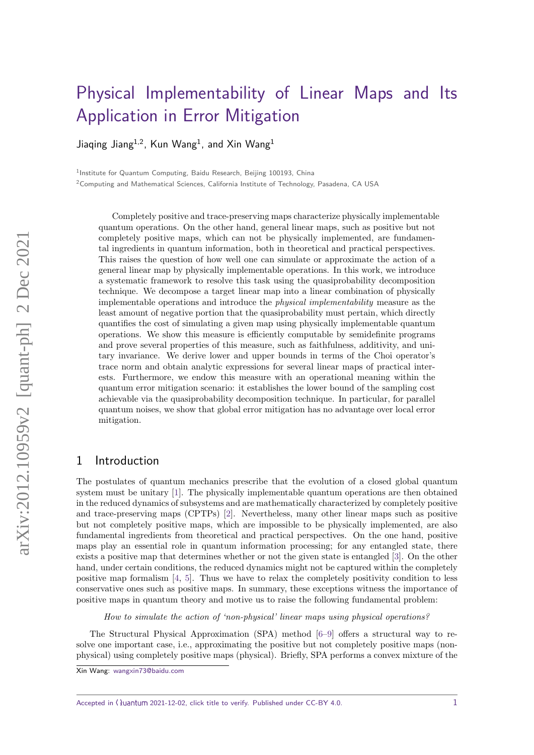# [Physical Implementability of Linear Maps and Its](https://quantum-journal.org/?s={Physical%20Implementability%20of%20Linear%20Maps%20and%20Its%20Application%20in%20Error%20Mitigation}&reason=title-click) [Application in Error Mitigation](https://quantum-journal.org/?s={Physical%20Implementability%20of%20Linear%20Maps%20and%20Its%20Application%20in%20Error%20Mitigation}&reason=title-click)

Jiaqing Jiang $^{1,2}$ , Kun Wang $^{1}$ , and Xin Wang $^{1}$ 

<sup>1</sup>Institute for Quantum Computing, Baidu Research, Beijing 100193, China

<sup>2</sup>Computing and Mathematical Sciences, California Institute of Technology, Pasadena, CA USA

Completely positive and trace-preserving maps characterize physically implementable quantum operations. On the other hand, general linear maps, such as positive but not completely positive maps, which can not be physically implemented, are fundamental ingredients in quantum information, both in theoretical and practical perspectives. This raises the question of how well one can simulate or approximate the action of a general linear map by physically implementable operations. In this work, we introduce a systematic framework to resolve this task using the quasiprobability decomposition technique. We decompose a target linear map into a linear combination of physically implementable operations and introduce the physical implementability measure as the least amount of negative portion that the quasiprobability must pertain, which directly quantifies the cost of simulating a given map using physically implementable quantum operations. We show this measure is efficiently computable by semidefinite programs and prove several properties of this measure, such as faithfulness, additivity, and unitary invariance. We derive lower and upper bounds in terms of the Choi operator's trace norm and obtain analytic expressions for several linear maps of practical interests. Furthermore, we endow this measure with an operational meaning within the quantum error mitigation scenario: it establishes the lower bound of the sampling cost achievable via the quasiprobability decomposition technique. In particular, for parallel quantum noises, we show that global error mitigation has no advantage over local error mitigation.

## 1 Introduction

The postulates of quantum mechanics prescribe that the evolution of a closed global quantum system must be unitary [\[1\]](#page-19-0). The physically implementable quantum operations are then obtained in the reduced dynamics of subsystems and are mathematically characterized by completely positive and trace-preserving maps (CPTPs) [\[2\]](#page-19-1). Nevertheless, many other linear maps such as positive but not completely positive maps, which are impossible to be physically implemented, are also fundamental ingredients from theoretical and practical perspectives. On the one hand, positive maps play an essential role in quantum information processing; for any entangled state, there exists a positive map that determines whether or not the given state is entangled [\[3\]](#page-19-2). On the other hand, under certain conditions, the reduced dynamics might not be captured within the completely positive map formalism  $[4, 5]$  $[4, 5]$  $[4, 5]$ . Thus we have to relax the completely positivity condition to less conservative ones such as positive maps. In summary, these exceptions witness the importance of positive maps in quantum theory and motive us to raise the following fundamental problem:

How to simulate the action of 'non-physical' linear maps using physical operations?

The Structural Physical Approximation (SPA) method [\[6–](#page-19-5)[9\]](#page-19-6) offers a structural way to resolve one important case, i.e., approximating the positive but not completely positive maps (nonphysical) using completely positive maps (physical). Briefly, SPA performs a convex mixture of the

Accepted in  $\langle \rangle$ uantum 2021-12-02, click title to verify. Published under CC-BY 4.0. 1

Xin Wang: [wangxin73@baidu.com](mailto:wangxin73@baidu.com)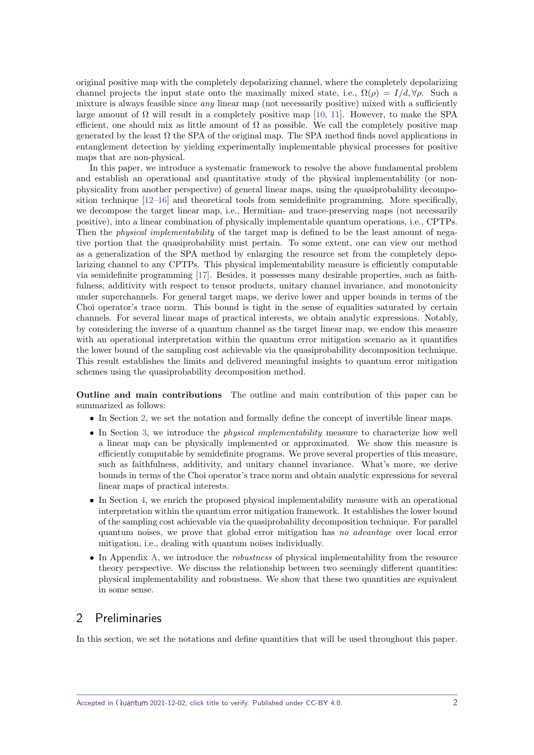original positive map with the completely depolarizing channel, where the completely depolarizing channel projects the input state onto the maximally mixed state, i.e.,  $\Omega(\rho) = I/d, \forall \rho$ . Such a mixture is always feasible since  $any$  linear map (not necessarily positive) mixed with a sufficiently large amount of  $\Omega$  will result in a completely positive map [\[10,](#page-20-0) [11\]](#page-20-1). However, to make the SPA efficient, one should mix as little amount of  $\Omega$  as possible. We call the completely positive map generated by the least  $\Omega$  the SPA of the original map. The SPA method finds novel applications in entanglement detection by yielding experimentally implementable physical processes for positive maps that are non-physical.

In this paper, we introduce a systematic framework to resolve the above fundamental problem and establish an operational and quantitative study of the physical implementability (or nonphysicality from another perspective) of general linear maps, using the quasiprobability decomposition technique [\[12](#page-20-2)[–16\]](#page-20-3) and theoretical tools from semidefinite programming. More specifically, we decompose the target linear map, i.e., Hermitian- and trace-preserving maps (not necessarily positive), into a linear combination of physically implementable quantum operations, i.e., CPTPs. Then the *physical implementability* of the target map is defined to be the least amount of negative portion that the quasiprobability must pertain. To some extent, one can view our method as a generalization of the SPA method by enlarging the resource set from the completely depolarizing channel to any CPTPs. This physical implementability measure is efficiently computable via semidefinite programming [\[17\]](#page-20-4). Besides, it possesses many desirable properties, such as faithfulness, additivity with respect to tensor products, unitary channel invariance, and monotonicity under superchannels. For general target maps, we derive lower and upper bounds in terms of the Choi operator's trace norm. This bound is tight in the sense of equalities saturated by certain channels. For several linear maps of practical interests, we obtain analytic expressions. Notably, by considering the inverse of a quantum channel as the target linear map, we endow this measure with an operational interpretation within the quantum error mitigation scenario as it quantifies the lower bound of the sampling cost achievable via the quasiprobability decomposition technique. This result establishes the limits and delivered meaningful insights to quantum error mitigation schemes using the quasiprobability decomposition method.

**Outline and main contributions** The outline and main contribution of this paper can be summarized as follows:

- In Section [2,](#page-1-0) we set the notation and formally define the concept of invertible linear maps.
- In Section [3,](#page-4-0) we introduce the *physical implementability* measure to characterize how well a linear map can be physically implemented or approximated. We show this measure is efficiently computable by semidefinite programs. We prove several properties of this measure, such as faithfulness, additivity, and unitary channel invariance. What's more, we derive bounds in terms of the Choi operator's trace norm and obtain analytic expressions for several linear maps of practical interests.
- In Section [4,](#page-16-0) we enrich the proposed physical implementability measure with an operational interpretation within the quantum error mitigation framework. It establishes the lower bound of the sampling cost achievable via the quasiprobability decomposition technique. For parallel quantum noises, we prove that global error mitigation has no advantage over local error mitigation, i.e., dealing with quantum noises individually.
- In Appendix [A,](#page-22-0) we introduce the *robustness* of physical implementability from the resource theory perspective. We discuss the relationship between two seemingly different quantities: physical implementability and robustness. We show that these two quantities are equivalent in some sense.

## <span id="page-1-0"></span>2 Preliminaries

In this section, we set the notations and define quantities that will be used throughout this paper.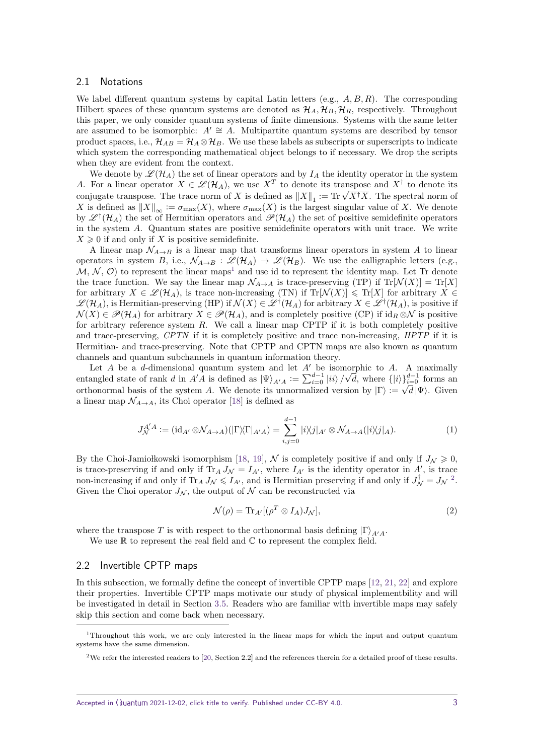#### 2.1 Notations

We label different quantum systems by capital Latin letters (e.g., *A, B, R*). The corresponding Hilbert spaces of these quantum systems are denoted as  $\mathcal{H}_A$ ,  $\mathcal{H}_B$ ,  $\mathcal{H}_R$ , respectively. Throughout this paper, we only consider quantum systems of finite dimensions. Systems with the same letter are assumed to be isomorphic:  $A' \cong A$ . Multipartite quantum systems are described by tensor product spaces, i.e.,  $\mathcal{H}_{AB} = \mathcal{H}_A \otimes \mathcal{H}_B$ . We use these labels as subscripts or superscripts to indicate which system the corresponding mathematical object belongs to if necessary. We drop the scripts when they are evident from the context.

We denote by  $\mathscr{L}(\mathcal{H}_A)$  the set of linear operators and by  $I_A$  the identity operator in the system *A*. For a linear operator  $X \in \mathcal{L}(\mathcal{H}_A)$ , we use  $X^T$  to denote its transpose and  $X^{\dagger}$  to denote its A. For a linear operator  $X \in \mathcal{Z}(H_A)$ , we use  $X$  to denote its transpose and  $X^+$  to denote its conjugate transpose. The trace norm of *X* is defined as  $||X||_1 := \text{Tr} \sqrt{X^{\dagger} X}$ . The spectral norm of *X* is defined as  $||X||_{\infty} := \sigma_{\max}(X)$ , where  $\sigma_{\max}(X)$  is the largest singular value of *X*. We denote by  $\mathscr{L}^{\dagger}(\mathcal{H}_{A})$  the set of Hermitian operators and  $\mathscr{P}(\mathcal{H}_{A})$  the set of positive semidefinite operators in the system *A*. Quantum states are positive semidefinite operators with unit trace. We write  $X \geq 0$  if and only if *X* is positive semidefinite.

A linear map  $\mathcal{N}_{A\rightarrow B}$  is a linear map that transforms linear operators in system A to linear operators in system *B*, i.e.,  $\mathcal{N}_{A\to B}$  :  $\mathcal{L}(\mathcal{H}_A) \to \mathcal{L}(\mathcal{H}_B)$ . We use the calligraphic letters (e.g.,  $M, N, \mathcal{O}$  to represent the linear maps<sup>[1](#page-2-0)</sup> and use id to represent the identity map. Let Tr denote the trace function. We say the linear map  $\mathcal{N}_{A\to A}$  is trace-preserving (TP) if  $Tr[\mathcal{N}(X)] = Tr[X]$ for arbitrary  $X \in \mathcal{L}(\mathcal{H}_A)$ , is trace non-increasing (TN) if Tr[ $\mathcal{N}(X)$ ]  $\leq$  Tr[X] for arbitrary  $X \in$  $\mathscr{L}(\mathcal{H}_A)$ , is Hermitian-preserving (HP) if  $\mathcal{N}(X) \in \mathscr{L}^{\dagger}(\mathcal{H}_A)$  for arbitrary  $X \in \mathscr{L}^{\dagger}(\mathcal{H}_A)$ , is positive if  $\mathcal{N}(X) \in \mathscr{P}(\mathcal{H}_A)$  for arbitrary  $X \in \mathscr{P}(\mathcal{H}_A)$ , and is completely positive (CP) if  $id_R \otimes \mathcal{N}$  is positive for arbitrary reference system *R*. We call a linear map CPTP if it is both completely positive and trace-preserving, CPTN if it is completely positive and trace non-increasing, HPTP if it is Hermitian- and trace-preserving. Note that CPTP and CPTN maps are also known as quantum channels and quantum subchannels in quantum information theory.

Let  $A$  be a  $d$ -dimensional quantum system and let  $A'$  be isomorphic to  $A$ . A maximally entangled state of rank *d* in  $A'A$  is defined as  $|\Psi\rangle_{A'A} := \sum_{i=0}^{d-1} |ii\rangle /$ norphic to A. A maximally  $\sqrt{d}$ , where  $\{|i\rangle\}_{i=0}^{d-1}$  forms and orthonormal basis of the system *A*. We denote its unnormalized version by  $|\Gamma\rangle := \sqrt{d} |\Psi\rangle$ . Given a linear map  $\mathcal{N}_{A\rightarrow A}$ , its Choi operator [\[18\]](#page-20-5) is defined as

$$
J_{\mathcal{N}}^{A'A} := (\mathrm{id}_{A'} \otimes \mathcal{N}_{A \to A})(|\Gamma \rangle \langle \Gamma |_{A'A}) = \sum_{i,j=0}^{d-1} |i \rangle \langle j |_{A'} \otimes \mathcal{N}_{A \to A}(|i \rangle \langle j |_{A}). \tag{1}
$$

By the Choi-Jamiołkowski isomorphism [\[18,](#page-20-5) [19\]](#page-20-6), N is completely positive if and only if  $J_\mathcal{N} \geq 0$ , is trace-preserving if and only if  $Tr_A J_{\mathcal{N}} = I_{A'}$ , where  $I_{A'}$  is the identity operator in  $A'$ , is trace non-increasing if and only if  $Tr_A J_{\mathcal{N}} \leqslant I_{A'}$ , and is Hermitian preserving if and only if  $J_{\mathcal{N}}^{\dagger} = J_{\mathcal{N}}^2$  $J_{\mathcal{N}}^{\dagger} = J_{\mathcal{N}}^2$ . Given the Choi operator  $J_N$ , the output of N can be reconstructed via

<span id="page-2-2"></span>
$$
\mathcal{N}(\rho) = \text{Tr}_{A'}[(\rho^T \otimes I_A)J_{\mathcal{N}}],\tag{2}
$$

where the transpose *T* is with respect to the orthonormal basis defining  $|\Gamma\rangle_{A\prime A}$ .

We use  $\mathbb R$  to represent the real field and  $\mathbb C$  to represent the complex field.

### 2.2 Invertible CPTP maps

In this subsection, we formally define the concept of invertible CPTP maps [\[12,](#page-20-2) [21,](#page-20-7) [22\]](#page-20-8) and explore their properties. Invertible CPTP maps motivate our study of physical implementbility and will be investigated in detail in Section [3.5.](#page-12-0) Readers who are familiar with invertible maps may safely skip this section and come back when necessary.

<span id="page-2-0"></span><sup>1</sup>Throughout this work, we are only interested in the linear maps for which the input and output quantum systems have the same dimension.

<span id="page-2-1"></span><sup>2</sup>We refer the interested readers to [\[20,](#page-20-9) Section 2.2] and the references therein for a detailed proof of these results.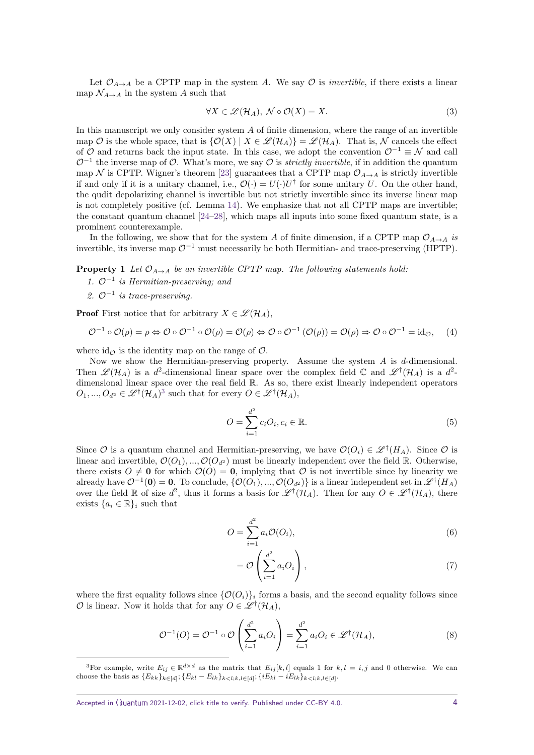Let  $\mathcal{O}_{A\to A}$  be a CPTP map in the system *A*. We say  $\mathcal O$  is *invertible*, if there exists a linear map  $\mathcal{N}_{A\to A}$  in the system *A* such that

$$
\forall X \in \mathcal{L}(\mathcal{H}_A), \ \mathcal{N} \circ \mathcal{O}(X) = X. \tag{3}
$$

In this manuscript we only consider system *A* of finite dimension, where the range of an invertible map O is the whole space, that is  $\{\mathcal{O}(X) | X \in \mathcal{L}(\mathcal{H}_A)\} = \mathcal{L}(\mathcal{H}_A)$ . That is, N cancels the effect of  $\mathcal O$  and returns back the input state. In this case, we adopt the convention  $\mathcal O^{-1} \equiv \mathcal N$  and call  $\mathcal{O}^{-1}$  the inverse map of  $\mathcal{O}$ . What's more, we say  $\mathcal O$  is *strictly invertible*, if in addition the quantum map N is CPTP. Wigner's theorem [\[23\]](#page-20-10) guarantees that a CPTP map  $\mathcal{O}_{A\rightarrow A}$  is strictly invertible if and only if it is a unitary channel, i.e.,  $\mathcal{O}(\cdot) = U(\cdot)U^{\dagger}$  for some unitary *U*. On the other hand, the qudit depolarizing channel is invertible but not strictly invertible since its inverse linear map is not completely positive (cf. Lemma [14\)](#page-15-0). We emphasize that not all CPTP maps are invertible; the constant quantum channel [\[24–](#page-20-11)[28\]](#page-20-12), which maps all inputs into some fixed quantum state, is a prominent counterexample.

In the following, we show that for the system *A* of finite dimension, if a CPTP map  $\mathcal{O}_{A\to A}$  is invertible, its inverse map  $\mathcal{O}^{-1}$  must necessarily be both Hermitian- and trace-preserving (HPTP).

<span id="page-3-1"></span>**Property 1** *Let*  $O_{A\rightarrow A}$  *be an invertible CPTP map. The following statements hold:* 

- *1.* O<sup>−</sup><sup>1</sup> *is Hermitian-preserving; and*
- *2.* O−<sup>1</sup> *is trace-preserving.*

**Proof** First notice that for arbitrary  $X \in \mathcal{L}(\mathcal{H}_A)$ ,

$$
\mathcal{O}^{-1} \circ \mathcal{O}(\rho) = \rho \Leftrightarrow \mathcal{O} \circ \mathcal{O}^{-1} \circ \mathcal{O}(\rho) = \mathcal{O}(\rho) \Leftrightarrow \mathcal{O} \circ \mathcal{O}^{-1} \left( \mathcal{O}(\rho) \right) = \mathcal{O}(\rho) \Rightarrow \mathcal{O} \circ \mathcal{O}^{-1} = id_{\mathcal{O}}, \quad (4)
$$

where  $id_{\mathcal{O}}$  is the identity map on the range of  $\mathcal{O}$ .

Now we show the Hermitian-preserving property. Assume the system *A* is *d*-dimensional. Then  $\mathscr{L}(\mathcal{H}_A)$  is a  $d^2$ -dimensional linear space over the complex field  $\mathbb C$  and  $\mathscr{L}^{\dagger}(\mathcal{H}_A)$  is a  $d^2$ dimensional linear space over the real field R. As so, there exist linearly independent operators  $O_1, ..., O_{d^2} \in \mathscr{L}^{\dagger}(\mathcal{H}_A)^3$  $O_1, ..., O_{d^2} \in \mathscr{L}^{\dagger}(\mathcal{H}_A)^3$  such that for every  $O \in \mathscr{L}^{\dagger}(\mathcal{H}_A)$ ,

$$
O = \sum_{i=1}^{d^2} c_i O_i, c_i \in \mathbb{R}.
$$
\n(5)

Since  $\mathcal{O}$  is a quantum channel and Hermitian-preserving, we have  $\mathcal{O}(O_i) \in \mathscr{L}^{\dagger}(H_A)$ . Since  $\mathcal{O}$  is linear and invertible,  $\mathcal{O}(O_1)$ , ...,  $\mathcal{O}(O_{d^2})$  must be linearly independent over the field R. Otherwise, there exists  $O \neq 0$  for which  $\mathcal{O}(O) = 0$ , implying that  $O$  is not invertible since by linearity we already have  $\mathcal{O}^{-1}(\mathbf{0}) = \mathbf{0}$ . To conclude,  $\{\mathcal{O}(O_1), ..., \mathcal{O}(O_{d^2})\}$  is a linear independent set in  $\mathscr{L}^{\dagger}(H_A)$ over the field R of size  $d^2$ , thus it forms a basis for  $\mathscr{L}^{\dagger}(\mathcal{H}_A)$ . Then for any  $O \in \mathscr{L}^{\dagger}(\mathcal{H}_A)$ , there exists  $\{a_i \in \mathbb{R}\}\$ i such that

$$
O = \sum_{i=1}^{d^2} a_i \mathcal{O}(O_i),\tag{6}
$$

$$
= \mathcal{O}\left(\sum_{i=1}^{d^2} a_i O_i\right),\tag{7}
$$

where the first equality follows since  $\{\mathcal{O}(O_i)\}\$ i forms a basis, and the second equality follows since  $\mathcal{O}$  is linear. Now it holds that for any  $O \in \mathscr{L}^{\dagger}(\mathcal{H}_{A}),$ 

$$
\mathcal{O}^{-1}(O) = \mathcal{O}^{-1} \circ \mathcal{O}\left(\sum_{i=1}^{d^2} a_i O_i\right) = \sum_{i=1}^{d^2} a_i O_i \in \mathscr{L}^{\dagger}(\mathcal{H}_A),\tag{8}
$$

<span id="page-3-0"></span><sup>&</sup>lt;sup>3</sup>For example, write  $E_{ij} \in \mathbb{R}^{d \times d}$  as the matrix that  $E_{ij}[k,l]$  equals 1 for  $k, l = i, j$  and 0 otherwise. We can choose the basis as  ${E_{kk}}_{k\in[d]}$ ;  ${E_{kl} - E_{lk}}_{k < l; k, l \in [d]}$ ;  ${iE_{kl} - iE_{lk}}_{k < l; k, l \in [d]}$ .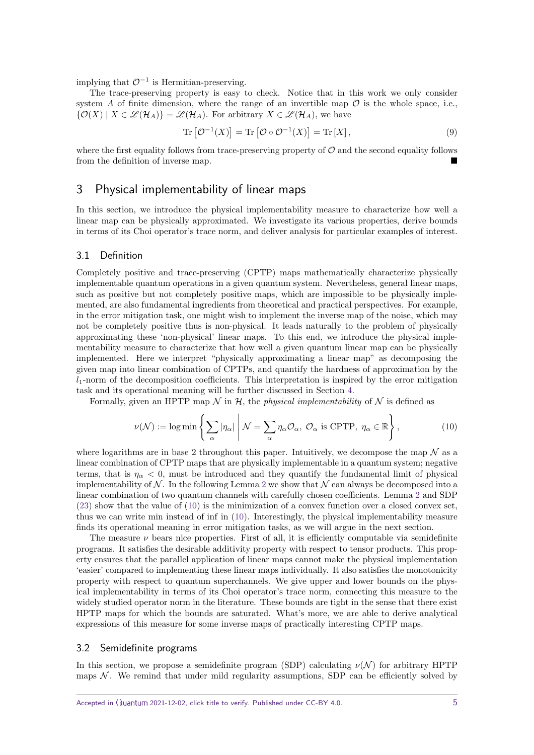implying that  $\mathcal{O}^{-1}$  is Hermitian-preserving.

The trace-preserving property is easy to check. Notice that in this work we only consider system *A* of finite dimension, where the range of an invertible map  $\mathcal O$  is the whole space, i.e.,  $\{\mathcal{O}(X) \mid X \in \mathcal{L}(\mathcal{H}_A)\} = \mathcal{L}(\mathcal{H}_A)$ . For arbitrary  $X \in \mathcal{L}(\mathcal{H}_A)$ , we have

$$
\operatorname{Tr}\left[\mathcal{O}^{-1}(X)\right] = \operatorname{Tr}\left[\mathcal{O}\circ\mathcal{O}^{-1}(X)\right] = \operatorname{Tr}\left[X\right],\tag{9}
$$

where the first equality follows from trace-preserving property of  $\mathcal O$  and the second equality follows from the definition of inverse map.

## <span id="page-4-0"></span>3 Physical implementability of linear maps

In this section, we introduce the physical implementability measure to characterize how well a linear map can be physically approximated. We investigate its various properties, derive bounds in terms of its Choi operator's trace norm, and deliver analysis for particular examples of interest.

#### 3.1 Definition

Completely positive and trace-preserving (CPTP) maps mathematically characterize physically implementable quantum operations in a given quantum system. Nevertheless, general linear maps, such as positive but not completely positive maps, which are impossible to be physically implemented, are also fundamental ingredients from theoretical and practical perspectives. For example, in the error mitigation task, one might wish to implement the inverse map of the noise, which may not be completely positive thus is non-physical. It leads naturally to the problem of physically approximating these 'non-physical' linear maps. To this end, we introduce the physical implementability measure to characterize that how well a given quantum linear map can be physically implemented. Here we interpret "physically approximating a linear map" as decomposing the given map into linear combination of CPTPs, and quantify the hardness of approximation by the  $l_1$ -norm of the decomposition coefficients. This interpretation is inspired by the error mitigation task and its operational meaning will be further discussed in Section [4.](#page-16-0)

Formally, given an HPTP map  $\mathcal N$  in  $\mathcal H$ , the *physical implementability* of  $\mathcal N$  is defined as

<span id="page-4-1"></span>
$$
\nu(\mathcal{N}) := \log \min \left\{ \sum_{\alpha} |\eta_{\alpha}| \middle| \mathcal{N} = \sum_{\alpha} \eta_{\alpha} \mathcal{O}_{\alpha}, \ \mathcal{O}_{\alpha} \text{ is CPTP}, \ \eta_{\alpha} \in \mathbb{R} \right\},\tag{10}
$$

where logarithms are in base 2 throughout this paper. Intuitively, we decompose the map  $\mathcal N$  as a linear combination of CPTP maps that are physically implementable in a quantum system; negative terms, that is  $\eta_{\alpha} < 0$ , must be introduced and they quantify the fundamental limit of physical implementability of  $N$ . In the following Lemma [2](#page-5-0) we show that  $N$  can always be decomposed into a linear combination of two quantum channels with carefully chosen coefficients. Lemma [2](#page-5-0) and SDP [\(23\)](#page-6-0) show that the value of [\(10\)](#page-4-1) is the minimization of a convex function over a closed convex set, thus we can write min instead of inf in [\(10\)](#page-4-1). Interestingly, the physical implementability measure finds its operational meaning in error mitigation tasks, as we will argue in the next section.

The measure  $\nu$  bears nice properties. First of all, it is efficiently computable via semidefinite programs. It satisfies the desirable additivity property with respect to tensor products. This property ensures that the parallel application of linear maps cannot make the physical implementation 'easier' compared to implementing these linear maps individually. It also satisfies the monotonicity property with respect to quantum superchannels. We give upper and lower bounds on the physical implementability in terms of its Choi operator's trace norm, connecting this measure to the widely studied operator norm in the literature. These bounds are tight in the sense that there exist HPTP maps for which the bounds are saturated. What's more, we are able to derive analytical expressions of this measure for some inverse maps of practically interesting CPTP maps.

#### 3.2 Semidefinite programs

In this section, we propose a semidefinite program (SDP) calculating  $\nu(\mathcal{N})$  for arbitrary HPTP maps  $N$ . We remind that under mild regularity assumptions, SDP can be efficiently solved by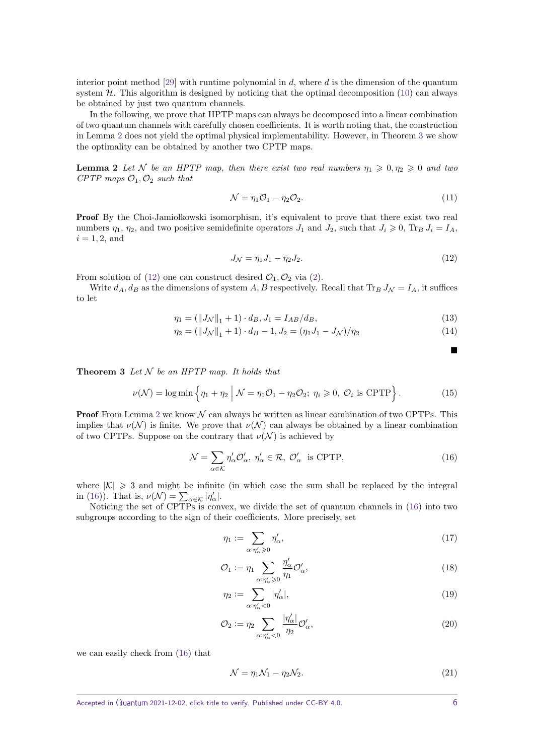interior point method [\[29\]](#page-20-13) with runtime polynomial in *d*, where *d* is the dimension of the quantum system  $H$ . This algorithm is designed by noticing that the optimal decomposition  $(10)$  can always be obtained by just two quantum channels.

In the following, we prove that HPTP maps can always be decomposed into a linear combination of two quantum channels with carefully chosen coefficients. It is worth noting that, the construction in Lemma [2](#page-5-0) does not yield the optimal physical implementability. However, in Theorem [3](#page-5-1) we show the optimality can be obtained by another two CPTP maps.

<span id="page-5-0"></span>**Lemma 2** Let N be an HPTP map, then there exist two real numbers  $\eta_1 \geq 0, \eta_2 \geq 0$  and two *CPTP* maps  $O_1$ ,  $O_2$  *such that* 

$$
\mathcal{N} = \eta_1 \mathcal{O}_1 - \eta_2 \mathcal{O}_2. \tag{11}
$$

**Proof** By the Choi-Jamiołkowski isomorphism, it's equivalent to prove that there exist two real numbers  $\eta_1$ ,  $\eta_2$ , and two positive semidefinite operators  $J_1$  and  $J_2$ , such that  $J_i \geq 0$ ,  $\text{Tr}_B J_i = I_A$ ,  $i = 1, 2$ , and

$$
J_{\mathcal{N}} = \eta_1 J_1 - \eta_2 J_2. \tag{12}
$$

From solution of [\(12\)](#page-5-2) one can construct desired  $\mathcal{O}_1, \mathcal{O}_2$  via [\(2\)](#page-2-2).

Write  $d_A$ ,  $d_B$  as the dimensions of system *A*, *B* respectively. Recall that  $Tr_B J_N = I_A$ , it suffices to let

$$
\eta_1 = (\|J_{\mathcal{N}}\|_1 + 1) \cdot d_B, J_1 = I_{AB}/d_B,
$$
\n(13)

$$
\eta_2 = (\|J_N\|_1 + 1) \cdot d_B - 1, J_2 = (\eta_1 J_1 - J_N)/\eta_2 \tag{14}
$$

<span id="page-5-1"></span>**Theorem 3** *Let* N *be an HPTP map. It holds that*

$$
\nu(\mathcal{N}) = \log \min \left\{ \eta_1 + \eta_2 \; \middle| \; \mathcal{N} = \eta_1 \mathcal{O}_1 - \eta_2 \mathcal{O}_2; \; \eta_i \geqslant 0, \; \mathcal{O}_i \; \text{is CPTP} \right\}. \tag{15}
$$

**Proof** From Lemma [2](#page-5-0) we know  $\mathcal N$  can always be written as linear combination of two CPTPs. This implies that  $\nu(\mathcal{N})$  is finite. We prove that  $\nu(\mathcal{N})$  can always be obtained by a linear combination of two CPTPs. Suppose on the contrary that  $\nu(\mathcal{N})$  is achieved by

$$
\mathcal{N} = \sum_{\alpha \in \mathcal{K}} \eta_{\alpha}' \mathcal{O}_{\alpha}', \ \eta_{\alpha}' \in \mathcal{R}, \ \mathcal{O}_{\alpha}' \ \text{ is CPTP}, \tag{16}
$$

where  $|\mathcal{K}| \geq 3$  and might be infinite (in which case the sum shall be replaced by the integral in [\(16\)](#page-5-3)). That is,  $\nu(\mathcal{N}) = \sum_{\alpha \in \mathcal{K}} |\eta'_{\alpha}|.$ 

Noticing the set of CPTPs is convex, we divide the set of quantum channels in [\(16\)](#page-5-3) into two subgroups according to the sign of their coefficients. More precisely, set

$$
\eta_1 := \sum_{\alpha:\eta'_\alpha \geqslant 0} \eta'_\alpha,\tag{17}
$$

$$
\mathcal{O}_1 := \eta_1 \sum_{\alpha: \eta'_\alpha \geq 0} \frac{\eta'_\alpha}{\eta_1} \mathcal{O}'_\alpha,\tag{18}
$$

$$
\eta_2 := \sum_{\alpha:\eta'_\alpha < 0} |\eta'_\alpha|,\tag{19}
$$

$$
\mathcal{O}_2 := \eta_2 \sum_{\alpha:\eta'_\alpha < 0} \frac{|\eta'_\alpha|}{\eta_2} \mathcal{O}'_\alpha,\tag{20}
$$

we can easily check from [\(16\)](#page-5-3) that

$$
\mathcal{N} = \eta_1 \mathcal{N}_1 - \eta_2 \mathcal{N}_2. \tag{21}
$$

<span id="page-5-4"></span><span id="page-5-3"></span><span id="page-5-2"></span>П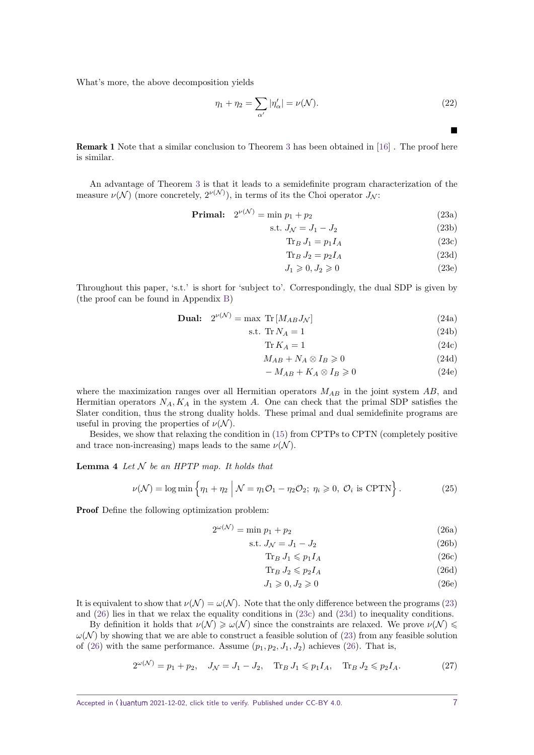What's more, the above decomposition yields

$$
\eta_1 + \eta_2 = \sum_{\alpha'} |\eta'_{\alpha}| = \nu(\mathcal{N}). \tag{22}
$$

Remark 1 Note that a similar conclusion to Theorem [3](#page-5-1) has been obtained in [\[16\]](#page-20-3) . The proof here is similar.

An advantage of Theorem [3](#page-5-1) is that it leads to a semidefinite program characterization of the measure  $\nu(\mathcal{N})$  (more concretely,  $2^{\nu(\mathcal{N})}$ ), in terms of its the Choi operator  $J_{\mathcal{N}}$ :

**Primal:** 
$$
2^{\nu(\mathcal{N})} = \min p_1 + p_2
$$
 (23a)

$$
s.t. JN = J1 - J2
$$
\n(23b)

$$
\text{Tr}_B J_1 = p_1 I_A \tag{23c}
$$

<span id="page-6-6"></span><span id="page-6-3"></span><span id="page-6-2"></span><span id="page-6-0"></span> $\blacksquare$ 

$$
\text{Tr}_B J_2 = p_2 I_A \tag{23d}
$$

$$
J_1 \geqslant 0, J_2 \geqslant 0 \tag{23e}
$$

Throughout this paper, 's.t.' is short for 'subject to'. Correspondingly, the dual SDP is given by (the proof can be found in Appendix [B\)](#page-23-0)

$$
\textbf{Dual:} \quad 2^{\nu(\mathcal{N})} = \max \, \text{Tr} \left[ M_{AB} J_{\mathcal{N}} \right] \tag{24a}
$$

<span id="page-6-5"></span>
$$
s.t. \; \text{Tr}\,N_A = 1\tag{24b}
$$

$$
\operatorname{Tr} K_A = 1 \tag{24c}
$$

$$
M_{AB} + N_A \otimes I_B \geq 0 \tag{24d}
$$

$$
-M_{AB} + K_A \otimes I_B \geq 0 \tag{24e}
$$

where the maximization ranges over all Hermitian operators *MAB* in the joint system *AB*, and Hermitian operators  $N_A$ ,  $K_A$  in the system  $A$ . One can check that the primal SDP satisfies the Slater condition, thus the strong duality holds. These primal and dual semidefinite programs are useful in proving the properties of  $\nu(\mathcal{N})$ .

Besides, we show that relaxing the condition in [\(15\)](#page-5-4) from CPTPs to CPTN (completely positive and trace non-increasing) maps leads to the same  $\nu(\mathcal{N})$ .

<span id="page-6-7"></span>**Lemma 4** *Let*  $N$  *be an HPTP map. It holds that* 

$$
\nu(\mathcal{N}) = \log \min \left\{ \eta_1 + \eta_2 \; \middle| \; \mathcal{N} = \eta_1 \mathcal{O}_1 - \eta_2 \mathcal{O}_2; \; \eta_i \geqslant 0, \; \mathcal{O}_i \; \text{is CPTN} \right\}. \tag{25}
$$

Proof Define the following optimization problem:

$$
2^{\omega(\mathcal{N})} = \min p_1 + p_2 \tag{26a}
$$

<span id="page-6-1"></span>
$$
s.t. JN = J1 - J2
$$
\n(26b)

$$
\text{Tr}_B J_1 \leqslant p_1 I_A \tag{26c}
$$

$$
\operatorname{Tr}_B J_2 \leqslant p_2 I_A \tag{26d}
$$

<span id="page-6-4"></span>
$$
J_1 \geqslant 0, J_2 \geqslant 0 \tag{26e}
$$

It is equivalent to show that  $\nu(\mathcal{N}) = \omega(\mathcal{N})$ . Note that the only difference between the programs [\(23\)](#page-6-0) and [\(26\)](#page-6-1) lies in that we relax the equality conditions in [\(23c\)](#page-6-2) and [\(23d\)](#page-6-3) to inequality conditions.

By definition it holds that  $\nu(N) \geq \omega(N)$  since the constraints are relaxed. We prove  $\nu(N) \leq$  $\omega(\mathcal{N})$  by showing that we are able to construct a feasible solution of [\(23\)](#page-6-0) from any feasible solution of [\(26\)](#page-6-1) with the same performance. Assume  $(p_1, p_2, J_1, J_2)$  achieves (26). That is,

$$
2^{\omega(\mathcal{N})} = p_1 + p_2, \quad J_{\mathcal{N}} = J_1 - J_2, \quad \text{Tr}_B J_1 \leqslant p_1 I_A, \quad \text{Tr}_B J_2 \leqslant p_2 I_A. \tag{27}
$$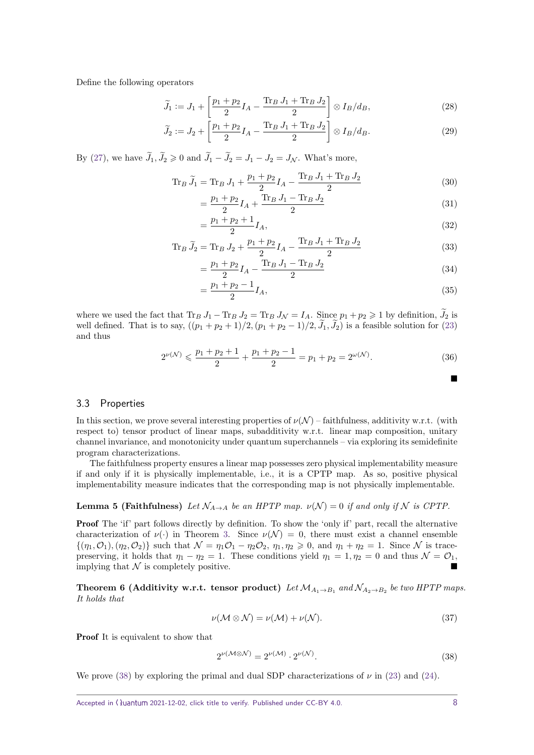Define the following operators

$$
\widetilde{J}_1 := J_1 + \left[ \frac{p_1 + p_2}{2} I_A - \frac{\text{Tr}_B J_1 + \text{Tr}_B J_2}{2} \right] \otimes I_B / d_B, \tag{28}
$$

$$
\widetilde{J}_2 := J_2 + \left[ \frac{p_1 + p_2}{2} I_A - \frac{\text{Tr}_B J_1 + \text{Tr}_B J_2}{2} \right] \otimes I_B / d_B. \tag{29}
$$

By [\(27\)](#page-6-4), we have  $\widetilde{J}_1, \widetilde{J}_2 \geq 0$  and  $\widetilde{J}_1 - \widetilde{J}_2 = J_1 - J_2 = J_{\mathcal{N}}$ . What's more,

$$
\text{Tr}_B \, \tilde{J}_1 = \text{Tr}_B \, J_1 + \frac{p_1 + p_2}{2} I_A - \frac{\text{Tr}_B \, J_1 + \text{Tr}_B \, J_2}{2} \tag{30}
$$

$$
=\frac{p_1+p_2}{2}I_A + \frac{\text{Tr}_B J_1 - \text{Tr}_B J_2}{2} \tag{31}
$$

$$
=\frac{p_1+p_2+1}{2}I_A,
$$
\n(32)

$$
\text{Tr}_B \,\tilde{J}_2 = \text{Tr}_B \, J_2 + \frac{p_1 + p_2}{2} I_A - \frac{\text{Tr}_B \, J_1 + \text{Tr}_B \, J_2}{2} \tag{33}
$$

$$
=\frac{p_1+p_2}{2}I_A - \frac{\text{Tr}_B J_1 - \text{Tr}_B J_2}{2} \tag{34}
$$

$$
=\frac{p_1+p_2-1}{2}I_A,\tag{35}
$$

where we used the fact that  $\text{Tr}_B J_1 - \text{Tr}_B J_2 = \text{Tr}_B J_\mathcal{N} = I_A$ . Since  $p_1 + p_2 \geq 1$  by definition,  $\widetilde{J}_2$  is well defined. That is to say,  $((p_1 + p_2 + 1)/2, (p_1 + p_2 - 1)/2, \tilde{J}_1, \tilde{J}_2)$  is a feasible solution for [\(23\)](#page-6-0) and thus

$$
2^{\nu(\mathcal{N})} \leqslant \frac{p_1 + p_2 + 1}{2} + \frac{p_1 + p_2 - 1}{2} = p_1 + p_2 = 2^{\omega(\mathcal{N})}.
$$
\n
$$
(36)
$$

#### 3.3 Properties

In this section, we prove several interesting properties of  $\nu(\mathcal{N})$  – faithfulness, additivity w.r.t. (with respect to) tensor product of linear maps, subadditivity w.r.t. linear map composition, unitary channel invariance, and monotonicity under quantum superchannels – via exploring its semidefinite program characterizations.

The faithfulness property ensures a linear map possesses zero physical implementability measure if and only if it is physically implementable, i.e., it is a CPTP map. As so, positive physical implementability measure indicates that the corresponding map is not physically implementable.

<span id="page-7-1"></span>**Lemma 5 (Faithfulness)** *Let*  $\mathcal{N}_{A\rightarrow A}$  *be an HPTP map.*  $\nu(\mathcal{N}) = 0$  *if and only if*  $\mathcal{N}$  *is CPTP.* 

**Proof** The 'if' part follows directly by definition. To show the 'only if' part, recall the alternative characterization of  $\nu(\cdot)$  in Theorem [3.](#page-5-1) Since  $\nu(\mathcal{N}) = 0$ , there must exist a channel ensemble  $\{(\eta_1, \mathcal{O}_1), (\eta_2, \mathcal{O}_2)\}\$  such that  $\mathcal{N} = \eta_1\mathcal{O}_1 - \eta_2\mathcal{O}_2$ ,  $\eta_1, \eta_2 \geq 0$ , and  $\eta_1 + \eta_2 = 1$ . Since N is tracepreserving, it holds that  $\eta_1 - \eta_2 = 1$ . These conditions yield  $\eta_1 = 1, \eta_2 = 0$  and thus  $\mathcal{N} = \mathcal{O}_1$ , implying that  $\mathcal N$  is completely positive.

<span id="page-7-2"></span>**Theorem 6 (Additivity w.r.t. tensor product)**  $Let \mathcal{M}_{A_1 \to B_1}$  and  $\mathcal{N}_{A_2 \to B_2}$  be two HPTP maps. *It holds that*

$$
\nu(\mathcal{M}\otimes\mathcal{N})=\nu(\mathcal{M})+\nu(\mathcal{N}).
$$
\n(37)

Proof It is equivalent to show that

<span id="page-7-0"></span>
$$
2^{\nu(\mathcal{M}\otimes\mathcal{N})} = 2^{\nu(\mathcal{M})} \cdot 2^{\nu(\mathcal{N})}.
$$
\n(38)

We prove [\(38\)](#page-7-0) by exploring the primal and dual SDP characterizations of  $\nu$  in [\(23\)](#page-6-0) and [\(24\)](#page-6-5).

п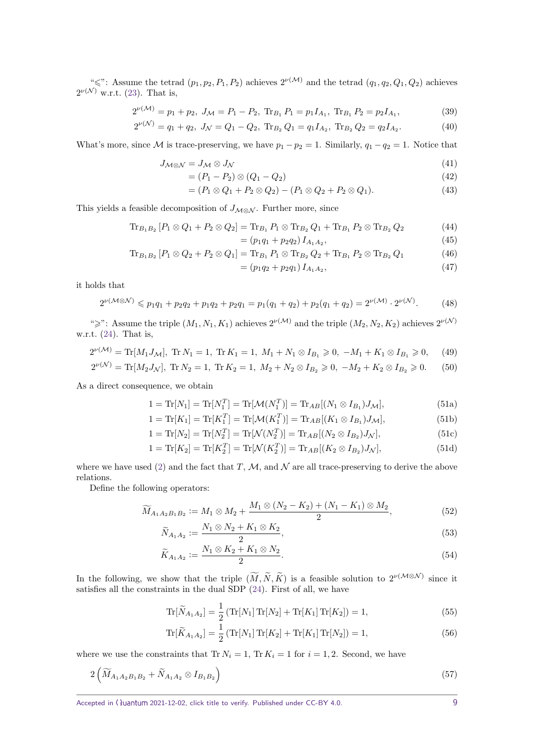" $\leq$ ": Assume the tetrad  $(p_1, p_2, P_1, P_2)$  achieves  $2^{\nu(\mathcal{M})}$  and the tetrad  $(q_1, q_2, Q_1, Q_2)$  achieves  $2^{\nu(\mathcal{N})}$  w.r.t. [\(23\)](#page-6-0). That is,

$$
2^{\nu(\mathcal{M})} = p_1 + p_2, J_{\mathcal{M}} = P_1 - P_2, \text{Tr}_{B_1} P_1 = p_1 I_{A_1}, \text{Tr}_{B_1} P_2 = p_2 I_{A_1},
$$
\n(39)

$$
2^{\nu(\mathcal{N})} = q_1 + q_2, J_{\mathcal{N}} = Q_1 - Q_2, \text{Tr}_{B_2} Q_1 = q_1 I_{A_2}, \text{Tr}_{B_2} Q_2 = q_2 I_{A_2}.
$$
 (40)

What's more, since M is trace-preserving, we have  $p_1 - p_2 = 1$ . Similarly,  $q_1 - q_2 = 1$ . Notice that

$$
J_{\mathcal{M}\otimes\mathcal{N}} = J_{\mathcal{M}} \otimes J_{\mathcal{N}} \tag{41}
$$

$$
= (P_1 - P_2) \otimes (Q_1 - Q_2) \tag{42}
$$

$$
= (P_1 \otimes Q_1 + P_2 \otimes Q_2) - (P_1 \otimes Q_2 + P_2 \otimes Q_1). \tag{43}
$$

This yields a feasible decomposition of  $J_{\mathcal{M}\otimes\mathcal{N}}$ . Further more, since

$$
\text{Tr}_{B_1B_2}[P_1 \otimes Q_1 + P_2 \otimes Q_2] = \text{Tr}_{B_1} P_1 \otimes \text{Tr}_{B_2} Q_1 + \text{Tr}_{B_1} P_2 \otimes \text{Tr}_{B_2} Q_2 \tag{44}
$$

$$
= (p_1q_1 + p_2q_2) I_{A_1A_2}, \tag{45}
$$

$$
\text{Tr}_{B_1B_2}[P_1 \otimes Q_2 + P_2 \otimes Q_1] = \text{Tr}_{B_1} P_1 \otimes \text{Tr}_{B_2} Q_2 + \text{Tr}_{B_1} P_2 \otimes \text{Tr}_{B_2} Q_1 \tag{46}
$$

<span id="page-8-1"></span><span id="page-8-0"></span>
$$
= (p_1 q_2 + p_2 q_1) I_{A_1 A_2}, \tag{47}
$$

it holds that

$$
2^{\nu(\mathcal{M}\otimes\mathcal{N})}\leqslant p_1q_1+p_2q_2+p_1q_2+p_2q_1=p_1(q_1+q_2)+p_2(q_1+q_2)=2^{\nu(\mathcal{M})}\cdot 2^{\nu(\mathcal{N})}.\tag{48}
$$

">": Assume the triple  $(M_1, N_1, K_1)$  achieves  $2^{\nu(M)}$  and the triple  $(M_2, N_2, K_2)$  achieves  $2^{\nu(N)}$ w.r.t. [\(24\)](#page-6-5). That is,

$$
2^{\nu(\mathcal{M})} = \text{Tr}[M_1 J_\mathcal{M}], \text{ Tr } N_1 = 1, \text{ Tr } K_1 = 1, M_1 + N_1 \otimes I_{B_1} \geq 0, -M_1 + K_1 \otimes I_{B_1} \geq 0, \quad (49)
$$

$$
2^{\nu(\mathcal{N})} = \text{Tr}[M_2 J_{\mathcal{N}}], \text{ Tr } N_2 = 1, \text{ Tr } K_2 = 1, M_2 + N_2 \otimes I_{B_2} \geq 0, -M_2 + K_2 \otimes I_{B_2} \geq 0. \tag{50}
$$

As a direct consequence, we obtain

<span id="page-8-2"></span>
$$
1 = \text{Tr}[N_1] = \text{Tr}[N_1^T] = \text{Tr}[\mathcal{M}(N_1^T)] = \text{Tr}_{AB}[(N_1 \otimes I_{B_1})J_{\mathcal{M}}],
$$
\n(51a)

$$
1 = \text{Tr}[K_1] = \text{Tr}[K_1^T] = \text{Tr}[\mathcal{M}(K_1^T)] = \text{Tr}_{AB}[(K_1 \otimes I_{B_1})J_{\mathcal{M}}],
$$
\n(51b)

$$
1 = \text{Tr}[N_2] = \text{Tr}[N_2^T] = \text{Tr}[\mathcal{N}(N_2^T)] = \text{Tr}_{AB}[(N_2 \otimes I_{B_2})J_{\mathcal{N}}],
$$
\n(51c)

$$
1 = \text{Tr}[K_2] = \text{Tr}[K_2^T] = \text{Tr}[\mathcal{N}(K_2^T)] = \text{Tr}_{AB}[(K_2 \otimes I_{B_2})J_{\mathcal{N}}],
$$
\n(51d)

where we have used [\(2\)](#page-2-2) and the fact that  $T$ ,  $M$ , and  $N$  are all trace-preserving to derive the above relations.

Define the following operators:

$$
\widetilde{M}_{A_1 A_2 B_1 B_2} := M_1 \otimes M_2 + \frac{M_1 \otimes (N_2 - K_2) + (N_1 - K_1) \otimes M_2}{2}, \tag{52}
$$

$$
\widetilde{N}_{A_1 A_2} := \frac{N_1 \otimes N_2 + K_1 \otimes K_2}{2},\tag{53}
$$

$$
\widetilde{K}_{A_1A_2} := \frac{N_1 \otimes K_2 + K_1 \otimes N_2}{2}.
$$
\n
$$
(54)
$$

In the following, we show that the triple  $(M, \tilde{N}, \tilde{K})$  is a feasible solution to  $2^{\nu(M\otimes N)}$  since it satisfies all the constraints in the dual SDP [\(24\)](#page-6-5). First of all, we have

$$
\text{Tr}[\widetilde{N}_{A_1 A_2}] = \frac{1}{2} \left( \text{Tr}[N_1] \, \text{Tr}[N_2] + \text{Tr}[K_1] \, \text{Tr}[K_2] \right) = 1,\tag{55}
$$

$$
\text{Tr}[\widetilde{K}_{A_1 A_2}] = \frac{1}{2} \left( \text{Tr}[N_1] \, \text{Tr}[K_2] + \text{Tr}[K_1] \, \text{Tr}[N_2] \right) = 1,\tag{56}
$$

where we use the constraints that  $Tr N_i = 1$ ,  $Tr K_i = 1$  for  $i = 1, 2$ . Second, we have

$$
2\left(\widetilde{M}_{A_1A_2B_1B_2} + \widetilde{N}_{A_1A_2} \otimes I_{B_1B_2}\right) \tag{57}
$$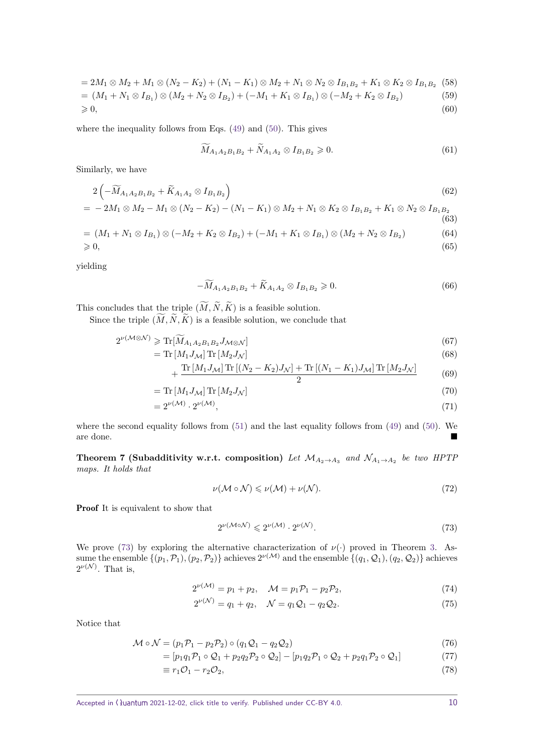$$
= 2M_1 \otimes M_2 + M_1 \otimes (N_2 - K_2) + (N_1 - K_1) \otimes M_2 + N_1 \otimes N_2 \otimes I_{B_1B_2} + K_1 \otimes K_2 \otimes I_{B_1B_2}
$$
 (58)  
=  $(M_1 + N_1 \otimes I_{B_1}) \otimes (M_2 + N_2 \otimes I_{B_2}) + (-M_1 + K_1 \otimes I_{B_1}) \otimes (-M_2 + K_2 \otimes I_{B_2})$  (59)  
 $\geq 0,$  (60)

where the inequality follows from Eqs. [\(49\)](#page-8-0) and [\(50\)](#page-8-1). This gives

$$
\widetilde{M}_{A_1 A_2 B_1 B_2} + \widetilde{N}_{A_1 A_2} \otimes I_{B_1 B_2} \geq 0. \tag{61}
$$

Similarly, we have

$$
2\left(-\widetilde{M}_{A_1A_2B_1B_2} + \widetilde{K}_{A_1A_2} \otimes I_{B_1B_2}\right) \tag{62}
$$

$$
= -2M_1 \otimes M_2 - M_1 \otimes (N_2 - K_2) - (N_1 - K_1) \otimes M_2 + N_1 \otimes K_2 \otimes I_{B_1B_2} + K_1 \otimes N_2 \otimes I_{B_1B_2}
$$
\n(63)

$$
= (M_1 + N_1 \otimes I_{B_1}) \otimes (-M_2 + K_2 \otimes I_{B_2}) + (-M_1 + K_1 \otimes I_{B_1}) \otimes (M_2 + N_2 \otimes I_{B_2})
$$
(64)  
\n
$$
\geq 0,
$$
(65)

yielding

$$
-\widetilde{M}_{A_1 A_2 B_1 B_2} + \widetilde{K}_{A_1 A_2} \otimes I_{B_1 B_2} \ge 0.
$$
\n(66)

This concludes that the triple  $(\widetilde{M}, \widetilde{N}, \widetilde{K})$  is a feasible solution.

Since the triple  $(\widetilde{M}, \widetilde{N}, \widetilde{K})$  is a feasible solution, we conclude that

$$
2^{\nu(\mathcal{M}\otimes\mathcal{N})}\geqslant\text{Tr}[\widetilde{M}_{A_1A_2B_1B_2}J_{\mathcal{M}\otimes\mathcal{N}}]\tag{67}
$$

$$
= \operatorname{Tr}\left[M_1 J_{\mathcal{M}}\right] \operatorname{Tr}\left[M_2 J_{\mathcal{N}}\right] \tag{68}
$$

$$
+\frac{\text{Tr}\left[M_{1}J_{\mathcal{M}}\right]\text{Tr}\left[(N_{2}-K_{2})J_{\mathcal{N}}\right]+\text{Tr}\left[(N_{1}-K_{1})J_{\mathcal{M}}\right]\text{Tr}\left[M_{2}J_{\mathcal{N}}\right]}{2}\tag{69}
$$

$$
= \operatorname{Tr}\left[M_1 J_{\mathcal{M}}\right] \operatorname{Tr}\left[M_2 J_{\mathcal{N}}\right] \tag{70}
$$

$$
=2^{\nu(\mathcal{M})}\cdot 2^{\nu(\mathcal{M})},\tag{71}
$$

where the second equality follows from [\(51\)](#page-8-2) and the last equality follows from [\(49\)](#page-8-0) and [\(50\)](#page-8-1). We are done.

<span id="page-9-3"></span>**Theorem 7 (Subadditivity w.r.t. composition)** Let  $\mathcal{M}_{A_2 \to A_3}$  and  $\mathcal{N}_{A_1 \to A_2}$  be two HPTP *maps. It holds that*

$$
\nu(\mathcal{M}\circ\mathcal{N})\leqslant\nu(\mathcal{M})+\nu(\mathcal{N}).\tag{72}
$$

Proof It is equivalent to show that

<span id="page-9-2"></span><span id="page-9-0"></span>
$$
2^{\nu(\mathcal{M}\circ\mathcal{N})} \leq 2^{\nu(\mathcal{M})} \cdot 2^{\nu(\mathcal{N})}.\tag{73}
$$

We prove [\(73\)](#page-9-0) by exploring the alternative characterization of  $\nu(\cdot)$  proved in Theorem [3.](#page-5-1) Assume the ensemble  $\{(p_1, \mathcal{P}_1), (p_2, \mathcal{P}_2)\}$  achieves  $2^{\nu(\mathcal{M})}$  and the ensemble  $\{(q_1, \mathcal{Q}_1), (q_2, \mathcal{Q}_2)\}$  achieves  $2^{\nu(\mathcal{N})}$ . That is,

$$
2^{\nu(\mathcal{M})} = p_1 + p_2, \quad \mathcal{M} = p_1 \mathcal{P}_1 - p_2 \mathcal{P}_2,\tag{74}
$$

<span id="page-9-1"></span>
$$
2^{\nu(\mathcal{N})} = q_1 + q_2, \quad \mathcal{N} = q_1 \mathcal{Q}_1 - q_2 \mathcal{Q}_2. \tag{75}
$$

Notice that

$$
\mathcal{M} \circ \mathcal{N} = (p_1 \mathcal{P}_1 - p_2 \mathcal{P}_2) \circ (q_1 \mathcal{Q}_1 - q_2 \mathcal{Q}_2) \tag{76}
$$

$$
= [p_1q_1\mathcal{P}_1 \circ \mathcal{Q}_1 + p_2q_2\mathcal{P}_2 \circ \mathcal{Q}_2] - [p_1q_2\mathcal{P}_1 \circ \mathcal{Q}_2 + p_2q_1\mathcal{P}_2 \circ \mathcal{Q}_1] \tag{77}
$$

$$
\equiv r_1 \mathcal{O}_1 - r_2 \mathcal{O}_2,\tag{78}
$$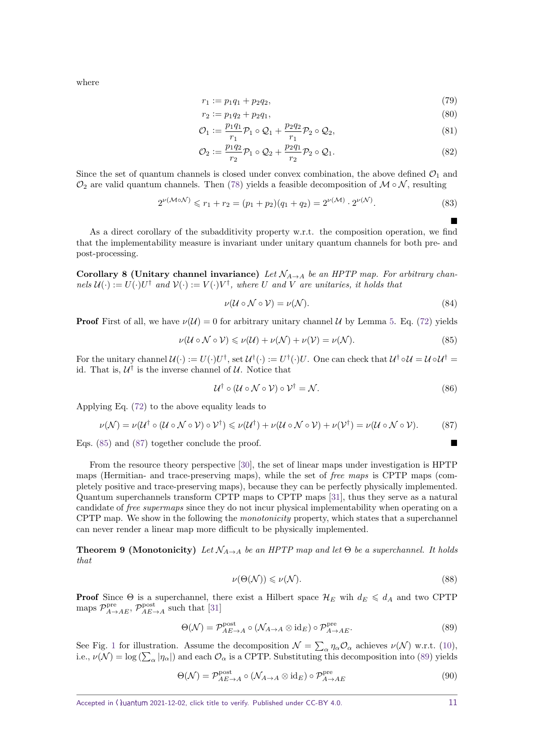where

$$
r_1 := p_1 q_1 + p_2 q_2,\tag{79}
$$

$$
r_2 := p_1 q_2 + p_2 q_1,\tag{80}
$$

$$
\mathcal{O}_1 := \frac{p_1 q_1}{r_1} \mathcal{P}_1 \circ \mathcal{Q}_1 + \frac{p_2 q_2}{r_1} \mathcal{P}_2 \circ \mathcal{Q}_2,\tag{81}
$$

$$
\mathcal{O}_2 := \frac{p_1 q_2}{r_2} \mathcal{P}_1 \circ \mathcal{Q}_2 + \frac{p_2 q_1}{r_2} \mathcal{P}_2 \circ \mathcal{Q}_1. \tag{82}
$$

Since the set of quantum channels is closed under convex combination, the above defined  $\mathcal{O}_1$  and  $\mathcal{O}_2$  are valid quantum channels. Then [\(78\)](#page-9-1) yields a feasible decomposition of  $\mathcal{M} \circ \mathcal{N}$ , resulting

$$
2^{\nu(\mathcal{M}\circ\mathcal{N})} \leq r_1 + r_2 = (p_1 + p_2)(q_1 + q_2) = 2^{\nu(\mathcal{M})} \cdot 2^{\nu(\mathcal{N})}.
$$
\n(83)

As a direct corollary of the subadditivity property w.r.t. the composition operation, we find that the implementability measure is invariant under unitary quantum channels for both pre- and post-processing.

**Corollary 8 (Unitary channel invariance)** *Let*  $\mathcal{N}_{A\rightarrow A}$  *be an HPTP map. For arbitrary chan* $nels$   $\mathcal{U}(\cdot) := U(\cdot)U^{\dagger}$  *and*  $\mathcal{V}(\cdot) := V(\cdot)V^{\dagger}$ *, where U and V are unitaries, it holds that* 

$$
\nu(\mathcal{U}\circ\mathcal{N}\circ\mathcal{V})=\nu(\mathcal{N}).\tag{84}
$$

**Proof** First of all, we have  $\nu(\mathcal{U}) = 0$  for arbitrary unitary channel U by Lemma [5.](#page-7-1) Eq. [\(72\)](#page-9-2) yields

$$
\nu(\mathcal{U}\circ\mathcal{N}\circ\mathcal{V})\leqslant\nu(\mathcal{U})+\nu(\mathcal{N})+\nu(\mathcal{V})=\nu(\mathcal{N}).
$$
\n(85)

For the unitary channel  $\mathcal{U}(\cdot) := U(\cdot)U^{\dagger}$ , set  $\mathcal{U}^{\dagger}(\cdot) := U^{\dagger}(\cdot)U$ . One can check that  $\mathcal{U}^{\dagger} \circ \mathcal{U} = \mathcal{U} \circ \mathcal{U}^{\dagger} =$ id. That is,  $\mathcal{U}^{\dagger}$  is the inverse channel of  $\mathcal{U}$ . Notice that

$$
\mathcal{U}^{\dagger} \circ (\mathcal{U} \circ \mathcal{N} \circ \mathcal{V}) \circ \mathcal{V}^{\dagger} = \mathcal{N}.
$$
 (86)

Applying Eq. [\(72\)](#page-9-2) to the above equality leads to

$$
\nu(\mathcal{N}) = \nu(\mathcal{U}^{\dagger} \circ (\mathcal{U} \circ \mathcal{N} \circ \mathcal{V}) \circ \mathcal{V}^{\dagger}) \leq \nu(\mathcal{U}^{\dagger}) + \nu(\mathcal{U} \circ \mathcal{N} \circ \mathcal{V}) + \nu(\mathcal{V}^{\dagger}) = \nu(\mathcal{U} \circ \mathcal{N} \circ \mathcal{V}).
$$
 (87)

Eqs. [\(85\)](#page-10-0) and [\(87\)](#page-10-1) together conclude the proof.

From the resource theory perspective [\[30\]](#page-20-14), the set of linear maps under investigation is HPTP maps (Hermitian- and trace-preserving maps), while the set of free maps is CPTP maps (completely positive and trace-preserving maps), because they can be perfectly physically implemented. Quantum superchannels transform CPTP maps to CPTP maps [\[31\]](#page-20-15), thus they serve as a natural candidate of free supermaps since they do not incur physical implementability when operating on a CPTP map. We show in the following the *monotonicity* property, which states that a superchannel can never render a linear map more difficult to be physically implemented.

<span id="page-10-3"></span>**Theorem 9 (Monotonicity)** Let  $\mathcal{N}_{A\rightarrow A}$  be an HPTP map and let  $\Theta$  be a superchannel. It holds *that*

<span id="page-10-2"></span>
$$
\nu(\Theta(\mathcal{N})) \leqslant \nu(\mathcal{N}).\tag{88}
$$

**Proof** Since  $\Theta$  is a superchannel, there exist a Hilbert space  $\mathcal{H}_E$  wih  $d_E \leq d_A$  and two CPTP maps  $\mathcal{P}_{A\to AE}^{\text{pre}}$ ,  $\mathcal{P}_{AE\to A}^{\text{post}}$  such that [\[31\]](#page-20-15)

$$
\Theta(\mathcal{N}) = \mathcal{P}_{AE \to A}^{\text{post}} \circ (\mathcal{N}_{A \to A} \otimes id_E) \circ \mathcal{P}_{A \to AE}^{\text{pre}}.
$$
\n(89)

See Fig. [1](#page-11-0) for illustration. Assume the decomposition  $\mathcal{N} = \sum_{\alpha} \eta_{\alpha} \mathcal{O}_{\alpha}$  achieves  $\nu(\mathcal{N})$  w.r.t. [\(10\)](#page-4-1), i.e.,  $\nu(\mathcal{N}) = \log(\sum_{\alpha} |\eta_{\alpha}|)$  and each  $\mathcal{O}_{\alpha}$  is a CPTP. Substituting this decomposition into [\(89\)](#page-10-2) yields

$$
\Theta(\mathcal{N}) = \mathcal{P}_{AE \to A}^{\text{post}} \circ (\mathcal{N}_{A \to A} \otimes id_E) \circ \mathcal{P}_{A \to AE}^{\text{pre}} \tag{90}
$$

<span id="page-10-1"></span><span id="page-10-0"></span> $\blacksquare$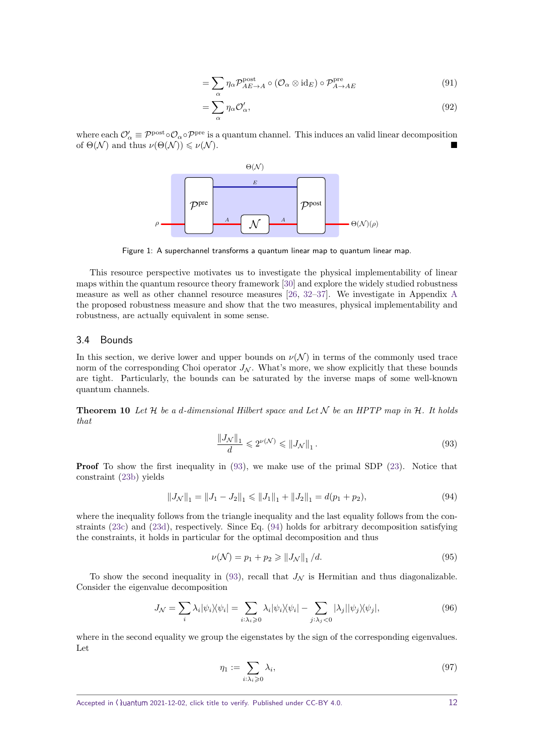$$
= \sum_{\alpha} \eta_{\alpha} \mathcal{P}_{AE \to A}^{\text{post}} \circ (\mathcal{O}_{\alpha} \otimes id_{E}) \circ \mathcal{P}_{A \to AE}^{\text{pre}} \tag{91}
$$

$$
=\sum_{\alpha}\eta_{\alpha}\mathcal{O}_{\alpha}',\tag{92}
$$

<span id="page-11-0"></span>where each  $\mathcal{O}'_{\alpha} \equiv \mathcal{P}^{\text{post}} \circ \mathcal{O}_{\alpha} \circ \mathcal{P}^{\text{pre}}$  is a quantum channel. This induces an valid linear decomposition of  $\Theta(\mathcal{N})$  and thus  $\nu(\Theta(\mathcal{N})) \leq \nu(\mathcal{N}).$ 



Figure 1: A superchannel transforms a quantum linear map to quantum linear map.

This resource perspective motivates us to investigate the physical implementability of linear maps within the quantum resource theory framework [\[30\]](#page-20-14) and explore the widely studied robustness measure as well as other channel resource measures [\[26,](#page-20-16) [32](#page-21-0)[–37\]](#page-21-1). We investigate in Appendix [A](#page-22-0) the proposed robustness measure and show that the two measures, physical implementability and robustness, are actually equivalent in some sense.

#### 3.4 Bounds

In this section, we derive lower and upper bounds on  $\nu(\mathcal{N})$  in terms of the commonly used trace norm of the corresponding Choi operator  $J_N$ . What's more, we show explicitly that these bounds are tight. Particularly, the bounds can be saturated by the inverse maps of some well-known quantum channels.

<span id="page-11-3"></span>**Theorem 10** *Let* H *be a d-dimensional Hilbert space and Let* N *be an HPTP map in* H*. It holds that*

<span id="page-11-2"></span><span id="page-11-1"></span>
$$
\frac{\|J_{\mathcal{N}}\|_1}{d} \leqslant 2^{\nu(\mathcal{N})} \leqslant \|J_{\mathcal{N}}\|_1.
$$
\n(93)

**Proof** To show the first inequality in [\(93\)](#page-11-1), we make use of the primal SDP [\(23\)](#page-6-0). Notice that constraint [\(23b\)](#page-6-6) yields

$$
||J_{\mathcal{N}}||_1 = ||J_1 - J_2||_1 \le ||J_1||_1 + ||J_2||_1 = d(p_1 + p_2),
$$
\n(94)

where the inequality follows from the triangle inequality and the last equality follows from the constraints [\(23c\)](#page-6-2) and [\(23d\)](#page-6-3), respectively. Since Eq. [\(94\)](#page-11-2) holds for arbitrary decomposition satisfying the constraints, it holds in particular for the optimal decomposition and thus

$$
\nu(\mathcal{N}) = p_1 + p_2 \ge ||J_{\mathcal{N}}||_1 / d. \tag{95}
$$

To show the second inequality in  $(93)$ , recall that  $J<sub>N</sub>$  is Hermitian and thus diagonalizable. Consider the eigenvalue decomposition

$$
J_{\mathcal{N}} = \sum_{i} \lambda_{i} |\psi_{i}\rangle\langle\psi_{i}| = \sum_{i:\lambda_{i}\geqslant 0} \lambda_{i} |\psi_{i}\rangle\langle\psi_{i}| - \sum_{j:\lambda_{j}< 0} |\lambda_{j}||\psi_{j}\rangle\langle\psi_{j}|,
$$
\n(96)

where in the second equality we group the eigenstates by the sign of the corresponding eigenvalues. Let

$$
\eta_1 := \sum_{i:\lambda_i \geqslant 0} \lambda_i,\tag{97}
$$

Accepted in  $\langle \rangle$ uantum 2021-12-02, click title to verify. Published under CC-BY 4.0. 12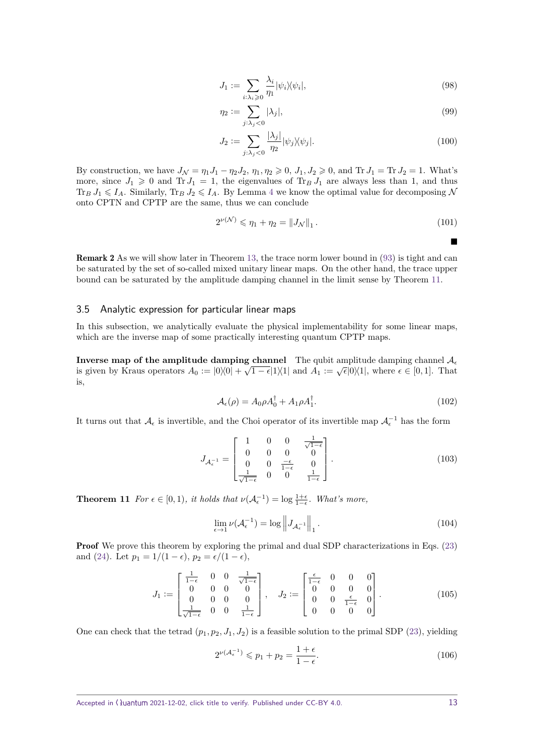$$
J_1 := \sum_{i:\lambda_i \geqslant 0} \frac{\lambda_i}{\eta_1} |\psi_i\rangle\langle\psi_i|,\tag{98}
$$

$$
\eta_2 := \sum_{j:\lambda_j < 0} |\lambda_j|,\tag{99}
$$

$$
J_2 := \sum_{j:\lambda_j < 0} \frac{|\lambda_j|}{\eta_2} |\psi_j\rangle\langle\psi_j|.\tag{100}
$$

By construction, we have  $J_N = \eta_1 J_1 - \eta_2 J_2$ ,  $\eta_1, \eta_2 \geqslant 0$ ,  $J_1, J_2 \geqslant 0$ , and Tr  $J_1 = \text{Tr } J_2 = 1$ . What's more, since  $J_1 \geq 0$  and  $Tr J_1 = 1$ , the eigenvalues of  $Tr_B J_1$  are always less than 1, and thus  $\text{Tr}_B J_1 \leq I_A$ . Similarly,  $\text{Tr}_B J_2 \leq I_A$ . By Lemma [4](#page-6-7) we know the optimal value for decomposing N onto CPTN and CPTP are the same, thus we can conclude

$$
2^{\nu(\mathcal{N})} \leq \eta_1 + \eta_2 = \|J_{\mathcal{N}}\|_1. \tag{101}
$$

Remark 2 As we will show later in Theorem [13,](#page-14-0) the trace norm lower bound in [\(93\)](#page-11-1) is tight and can be saturated by the set of so-called mixed unitary linear maps. On the other hand, the trace upper bound can be saturated by the amplitude damping channel in the limit sense by Theorem [11.](#page-12-1)

#### <span id="page-12-0"></span>3.5 Analytic expression for particular linear maps

In this subsection, we analytically evaluate the physical implementability for some linear maps, which are the inverse map of some practically interesting quantum CPTP maps.

**Inverse map of the amplitude damping channel** The qubit amplitude damping channel  $A_{\epsilon}$ is given by Kraus operators  $A_0 := |0\rangle\langle 0| + \sqrt{1-\epsilon}|1\rangle\langle 1|$  and  $A_1 := \sqrt{\epsilon}|0\rangle\langle 1|$ , where  $\epsilon \in [0,1]$ . That is,

$$
\mathcal{A}_{\epsilon}(\rho) = A_0 \rho A_0^{\dagger} + A_1 \rho A_1^{\dagger}.
$$
\n(102)

It turns out that  $A_{\epsilon}$  is invertible, and the Choi operator of its invertible map  $A_{\epsilon}^{-1}$  has the form

$$
J_{\mathcal{A}_{\epsilon}^{-1}} = \begin{bmatrix} 1 & 0 & 0 & \frac{1}{\sqrt{1-\epsilon}} \\ 0 & 0 & 0 & 0 \\ 0 & 0 & \frac{-\epsilon}{1-\epsilon} & 0 \\ \frac{1}{\sqrt{1-\epsilon}} & 0 & 0 & \frac{1}{1-\epsilon} \end{bmatrix} .
$$
 (103)

<span id="page-12-1"></span>**Theorem 11** *For*  $\epsilon \in [0,1)$ *, it holds that*  $\nu(\mathcal{A}_{\epsilon}^{-1}) = \log \frac{1+\epsilon}{1-\epsilon}$ *. What's more,* 

$$
\lim_{\epsilon \to 1} \nu(\mathcal{A}_{\epsilon}^{-1}) = \log \left\| J_{\mathcal{A}_{\epsilon}^{-1}} \right\|_{1}.
$$
\n(104)

**Proof** We prove this theorem by exploring the primal and dual SDP characterizations in Eqs. [\(23\)](#page-6-0) and [\(24\)](#page-6-5). Let  $p_1 = 1/(1 - \epsilon)$ ,  $p_2 = \epsilon/(1 - \epsilon)$ ,

$$
J_1 := \begin{bmatrix} \frac{1}{1-\epsilon} & 0 & 0 & \frac{1}{\sqrt{1-\epsilon}} \\ 0 & 0 & 0 & 0 \\ 0 & 0 & 0 & 0 \\ \frac{1}{\sqrt{1-\epsilon}} & 0 & 0 & \frac{1}{1-\epsilon} \end{bmatrix}, \quad J_2 := \begin{bmatrix} \frac{\epsilon}{1-\epsilon} & 0 & 0 & 0 \\ 0 & 0 & 0 & 0 \\ 0 & 0 & \frac{\epsilon}{1-\epsilon} & 0 \\ 0 & 0 & 0 & 0 \end{bmatrix}.
$$
 (105)

One can check that the tetrad  $(p_1, p_2, J_1, J_2)$  is a feasible solution to the primal SDP [\(23\)](#page-6-0), yielding

<span id="page-12-2"></span>
$$
2^{\nu(\mathcal{A}_{\epsilon}^{-1})} \leqslant p_1 + p_2 = \frac{1+\epsilon}{1-\epsilon}.
$$
\n(106)

 $\blacksquare$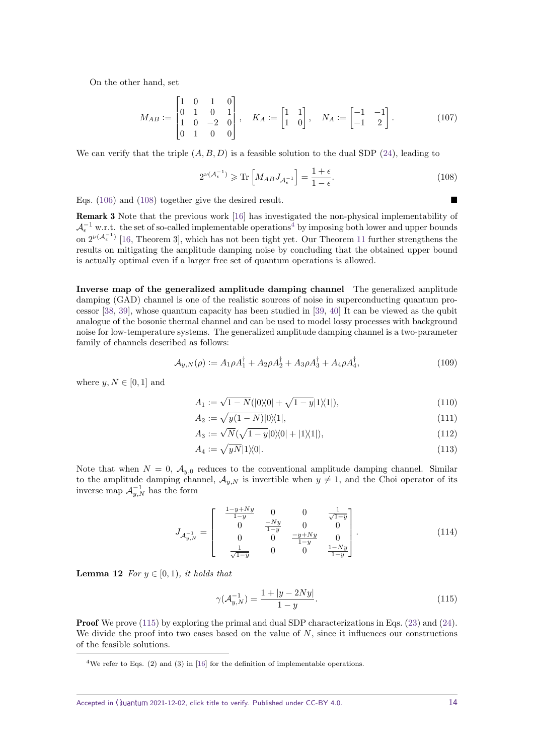On the other hand, set

$$
M_{AB} := \begin{bmatrix} 1 & 0 & 1 & 0 \\ 0 & 1 & 0 & 1 \\ 1 & 0 & -2 & 0 \\ 0 & 1 & 0 & 0 \end{bmatrix}, \quad K_A := \begin{bmatrix} 1 & 1 \\ 1 & 0 \end{bmatrix}, \quad N_A := \begin{bmatrix} -1 & -1 \\ -1 & 2 \end{bmatrix}.
$$
 (107)

We can verify that the triple  $(A, B, D)$  is a feasible solution to the dual SDP [\(24\)](#page-6-5), leading to

<span id="page-13-0"></span>
$$
2^{\nu(\mathcal{A}_{\epsilon}^{-1})} \geqslant \text{Tr}\left[M_{AB}J_{\mathcal{A}_{\epsilon}^{-1}}\right] = \frac{1+\epsilon}{1-\epsilon}.\tag{108}
$$

Eqs. [\(106\)](#page-12-2) and [\(108\)](#page-13-0) together give the desired result.

Remark 3 Note that the previous work [\[16\]](#page-20-3) has investigated the non-physical implementability of  $\mathcal{A}_{\epsilon}^{-1}$  w.r.t. the set of so-called implementable operations<sup>[4](#page-13-1)</sup> by imposing both lower and upper bounds on  $2^{\nu(\mathcal{A}_{\epsilon}^{-1})}$  [\[16,](#page-20-3) Theorem 3], which has not been tight yet. Our Theorem [11](#page-12-1) further strengthens the results on mitigating the amplitude damping noise by concluding that the obtained upper bound is actually optimal even if a larger free set of quantum operations is allowed.

**Inverse map of the generalized amplitude damping channel** The generalized amplitude damping (GAD) channel is one of the realistic sources of noise in superconducting quantum processor [\[38,](#page-21-2) [39\]](#page-21-3), whose quantum capacity has been studied in [\[39,](#page-21-3) [40\]](#page-21-4) It can be viewed as the qubit analogue of the bosonic thermal channel and can be used to model lossy processes with background noise for low-temperature systems. The generalized amplitude damping channel is a two-parameter family of channels described as follows:

$$
\mathcal{A}_{y,N}(\rho) := A_1 \rho A_1^{\dagger} + A_2 \rho A_2^{\dagger} + A_3 \rho A_3^{\dagger} + A_4 \rho A_4^{\dagger}, \tag{109}
$$

where  $y, N \in [0, 1]$  and

$$
A_1 := \sqrt{1 - N} (|0\rangle\langle 0| + \sqrt{1 - y}|1\rangle\langle 1|), \tag{110}
$$

$$
A_2 := \sqrt{y(1-N)} |0\rangle\langle 1|,\tag{111}
$$

$$
A_3 := \sqrt{N}(\sqrt{1-y}|0\rangle\langle 0| + |1\rangle\langle 1|),\tag{112}
$$

$$
A_4 := \sqrt{yN} |1\rangle\langle 0|.\tag{113}
$$

Note that when  $N = 0$ ,  $\mathcal{A}_{y,0}$  reduces to the conventional amplitude damping channel. Similar to the amplitude damping channel,  $\mathcal{A}_{y,N}$  is invertible when  $y \neq 1$ , and the Choi operator of its inverse map  $\mathcal{A}_{y,N}^{-1}$  has the form

$$
J_{\mathcal{A}_{y,N}^{-1}} = \begin{bmatrix} \frac{1-y+Ny}{1-y} & 0 & 0 & \frac{1}{\sqrt{1-y}} \\ 0 & \frac{-Ny}{1-y} & 0 & 0 \\ 0 & 0 & \frac{-y+Ny}{1-y} & 0 \\ \frac{1}{\sqrt{1-y}} & 0 & 0 & \frac{1-Ny}{1-y} \end{bmatrix} .
$$
 (114)

<span id="page-13-3"></span>**Lemma 12** *For*  $y \in [0, 1)$ *, it holds that* 

<span id="page-13-2"></span>
$$
\gamma(\mathcal{A}_{y,N}^{-1}) = \frac{1 + |y - 2Ny|}{1 - y}.
$$
\n(115)

**Proof** We prove [\(115\)](#page-13-2) by exploring the primal and dual SDP characterizations in Eqs. [\(23\)](#page-6-0) and [\(24\)](#page-6-5). We divide the proof into two cases based on the value of N, since it influences our constructions of the feasible solutions.

<span id="page-13-1"></span><sup>&</sup>lt;sup>4</sup>We refer to Eqs. (2) and (3) in [\[16\]](#page-20-3) for the definition of implementable operations.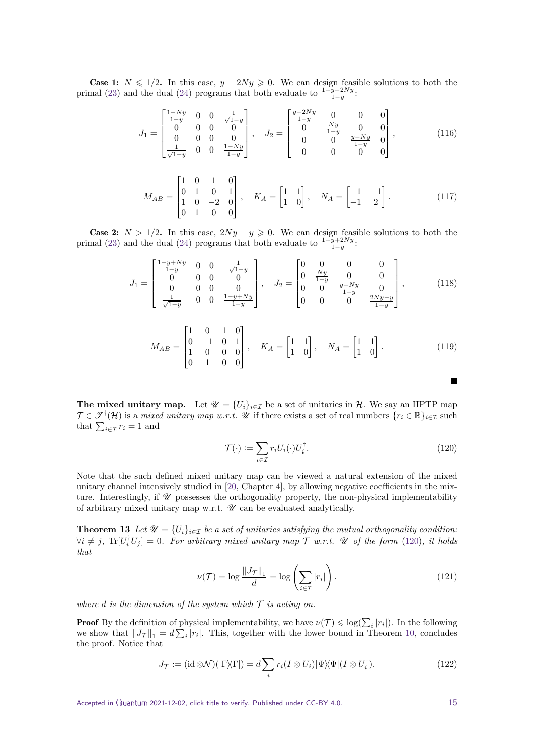**Case 1:**  $N \le 1/2$ . In this case,  $y - 2Ny \ge 0$ . We can design feasible solutions to both the primal [\(23\)](#page-6-0) and the dual [\(24\)](#page-6-5) programs that both evaluate to  $\frac{1+y-2Ny}{1-y}$ .

$$
J_1 = \begin{bmatrix} \frac{1-Ny}{1-y} & 0 & 0 & \frac{1}{\sqrt{1-y}} \\ 0 & 0 & 0 & 0 \\ 0 & 0 & 0 & 0 \\ \frac{1}{\sqrt{1-y}} & 0 & 0 & \frac{1-Ny}{1-y} \end{bmatrix}, \quad J_2 = \begin{bmatrix} \frac{y-2Ny}{1-y} & 0 & 0 & 0 \\ 0 & \frac{Ny}{1-y} & 0 & 0 \\ 0 & 0 & \frac{y-Ny}{1-y} & 0 \\ 0 & 0 & 0 & 0 \end{bmatrix}, \quad (116)
$$

$$
M_{AB} = \begin{bmatrix} 1 & 0 & 1 & 0 \\ 0 & 1 & 0 & 1 \\ 1 & 0 & -2 & 0 \\ 0 & 1 & 0 & 0 \end{bmatrix}, \quad K_A = \begin{bmatrix} 1 & 1 \\ 1 & 0 \end{bmatrix}, \quad N_A = \begin{bmatrix} -1 & -1 \\ -1 & 2 \end{bmatrix}.
$$
 (117)

**Case 2:**  $N > 1/2$ . In this case,  $2Ny - y \ge 0$ . We can design feasible solutions to both the primal [\(23\)](#page-6-0) and the dual [\(24\)](#page-6-5) programs that both evaluate to  $\frac{1-y+2Ny}{1-y}$ .

$$
J_1 = \begin{bmatrix} \frac{1-y+Ny}{1-y} & 0 & 0 & \frac{1}{\sqrt{1-y}} \\ 0 & 0 & 0 & 0 \\ 0 & 0 & 0 & 0 \\ \frac{1}{\sqrt{1-y}} & 0 & 0 & \frac{1-y+Ny}{1-y} \end{bmatrix}, \quad J_2 = \begin{bmatrix} 0 & 0 & 0 & 0 \\ 0 & \frac{Ny}{1-y} & 0 & 0 \\ 0 & 0 & \frac{y-Ny}{1-y} & 0 \\ 0 & 0 & 0 & \frac{2Ny-y}{1-y} \end{bmatrix}, \quad (118)
$$

$$
M_{AB} = \begin{bmatrix} 1 & 0 & 1 & 0 \\ 0 & -1 & 0 & 1 \\ 1 & 0 & 0 & 0 \\ 0 & 1 & 0 & 0 \end{bmatrix}, \quad K_A = \begin{bmatrix} 1 & 1 \\ 1 & 0 \end{bmatrix}, \quad N_A = \begin{bmatrix} 1 & 1 \\ 1 & 0 \end{bmatrix}.
$$
 (119)

**The mixed unitary map.** Let  $\mathcal{U} = \{U_i\}_{i \in \mathcal{I}}$  be a set of unitaries in  $\mathcal{H}$ . We say an HPTP map  $\mathcal{T} \in \mathcal{T}^{\dagger}(\mathcal{H})$  is a *mixed unitary map w.r.t.* W if there exists a set of real numbers  $\{r_i \in \mathbb{R}\}_{i \in \mathcal{I}}$  such that  $\sum_{i \in \mathcal{I}} r_i = 1$  and

$$
\mathcal{T}(\cdot) := \sum_{i \in \mathcal{I}} r_i U_i(\cdot) U_i^{\dagger}.
$$
\n(120)

Note that the such defined mixed unitary map can be viewed a natural extension of the mixed unitary channel intensively studied in [\[20,](#page-20-9) Chapter 4], by allowing negative coefficients in the mixture. Interestingly, if  $\mathcal U$  possesses the orthogonality property, the non-physical implementability of arbitrary mixed unitary map w.r.t.  $\mathcal U$  can be evaluated analytically.

<span id="page-14-0"></span>**Theorem 13** *Let*  $\mathcal{U} = \{U_i\}_{i \in \mathcal{I}}$  *be a set of unitaries satisfying the mutual orthogonality condition:*  $\forall i \neq j$ ,  $\text{Tr}[U_i^{\dagger} U_j] = 0$ *. For arbitrary mixed unitary map*  $\mathcal T$  *w.r.t.*  $\mathcal U$  *of the form* [\(120\)](#page-14-1)*, it holds that*

<span id="page-14-2"></span>
$$
\nu(\mathcal{T}) = \log \frac{\|J_{\mathcal{T}}\|_1}{d} = \log \left(\sum_{i \in \mathcal{I}} |r_i|\right). \tag{121}
$$

*where d is the dimension of the system which*  $\mathcal T$  *is acting on.* 

**Proof** By the definition of physical implementability, we have  $\nu(\mathcal{T}) \leq \log(\sum_i |r_i|)$ . In the following we show that  $||J_{\mathcal{T}}||_1 = d \sum_i |r_i|$ . This, together with the lower bound in Theorem [10,](#page-11-3) concludes the proof. Notice that

$$
J_{\mathcal{T}} := (\mathrm{id} \otimes \mathcal{N})(|\Gamma \rangle \langle \Gamma|) = d \sum_{i} r_{i} (I \otimes U_{i}) |\Psi \rangle \langle \Psi | (I \otimes U_{i}^{\dagger}). \tag{122}
$$

<span id="page-14-1"></span>п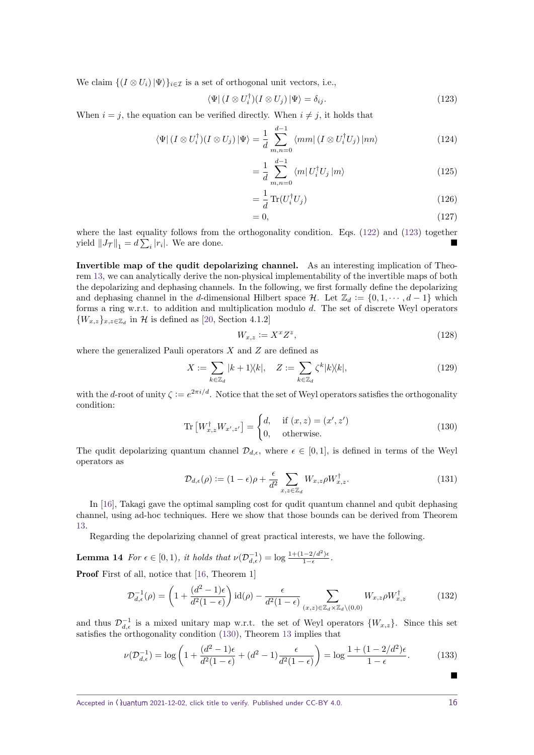We claim  $\{(I \otimes U_i) | \Psi\rangle\}_{i \in \mathcal{I}}$  is a set of orthogonal unit vectors, i.e.,

$$
\langle \Psi | (I \otimes U_i^{\dagger})(I \otimes U_j) | \Psi \rangle = \delta_{ij}.
$$
\n(123)

When  $i = j$ , the equation can be verified directly. When  $i \neq j$ , it holds that

$$
\langle \Psi | (I \otimes U_i^{\dagger})(I \otimes U_j) | \Psi \rangle = \frac{1}{d} \sum_{m,n=0}^{d-1} \langle mm | (I \otimes U_i^{\dagger} U_j) | nn \rangle \tag{124}
$$

<span id="page-15-1"></span>
$$
=\frac{1}{d}\sum_{m,n=0}^{d-1}\langle m|U_i^{\dagger}U_j|m\rangle\tag{125}
$$

$$
=\frac{1}{d}\operatorname{Tr}(U_i^{\dagger}U_j)\tag{126}
$$

$$
=0,\t(127)
$$

where the last equality follows from the orthogonality condition. Eqs. [\(122\)](#page-14-2) and [\(123\)](#page-15-1) together yield  $||J_{\mathcal{T}}||_1 = d \sum_i |r_i|$ . We are done.

**Invertible map of the qudit depolarizing channel.** As an interesting implication of Theorem [13,](#page-14-0) we can analytically derive the non-physical implementability of the invertible maps of both the depolarizing and dephasing channels. In the following, we first formally define the depolarizing and dephasing channel in the *d*-dimensional Hilbert space H. Let  $\mathbb{Z}_d := \{0, 1, \dots, d-1\}$  which forms a ring w.r.t. to addition and multiplication modulo *d*. The set of discrete Weyl operators  ${W_{x,z}}_{x,z\in\mathbb{Z}_d}$  in H is defined as [\[20,](#page-20-9) Section 4.1.2]

<span id="page-15-3"></span><span id="page-15-2"></span>
$$
W_{x,z} := X^x Z^z,\tag{128}
$$

where the generalized Pauli operators *X* and *Z* are defined as

$$
X := \sum_{k \in \mathbb{Z}_d} |k+1\rangle\langle k|, \quad Z := \sum_{k \in \mathbb{Z}_d} \zeta^k |k\rangle\langle k|,\tag{129}
$$

with the *d*-root of unity  $\zeta := e^{2\pi i/d}$ . Notice that the set of Weyl operators satisfies the orthogonality condition:

$$
\operatorname{Tr}\left[W_{x,z}^{\dagger}W_{x',z'}\right] = \begin{cases} d, & \text{if } (x,z) = (x',z')\\ 0, & \text{otherwise.} \end{cases}
$$
\n(130)

The qudit depolarizing quantum channel  $\mathcal{D}_{d,\epsilon}$ , where  $\epsilon \in [0,1]$ , is defined in terms of the Weyl operators as

$$
\mathcal{D}_{d,\epsilon}(\rho) := (1 - \epsilon)\rho + \frac{\epsilon}{d^2} \sum_{x,z \in \mathbb{Z}_d} W_{x,z} \rho W_{x,z}^\dagger. \tag{131}
$$

In [\[16\]](#page-20-3), Takagi gave the optimal sampling cost for qudit quantum channel and qubit dephasing channel, using ad-hoc techniques. Here we show that those bounds can be derived from Theorem [13.](#page-14-0)

Regarding the depolarizing channel of great practical interests, we have the following.

<span id="page-15-0"></span>**Lemma 14** For 
$$
\epsilon \in [0, 1)
$$
, it holds that  $\nu(\mathcal{D}_{d,\epsilon}^{-1}) = \log \frac{1+(1-2/d^2)\epsilon}{1-\epsilon}$ .

Proof First of all, notice that [\[16,](#page-20-3) Theorem 1]

$$
\mathcal{D}_{d,\epsilon}^{-1}(\rho) = \left(1 + \frac{(d^2 - 1)\epsilon}{d^2(1 - \epsilon)}\right) \mathrm{id}(\rho) - \frac{\epsilon}{d^2(1 - \epsilon)} \sum_{(x,z) \in \mathbb{Z}_d \times \mathbb{Z}_d \setminus (0,0)} W_{x,z} \rho W_{x,z}^{\dagger} \tag{132}
$$

and thus  $\mathcal{D}_{d,\epsilon}^{-1}$  is a mixed unitary map w.r.t. the set of Weyl operators  $\{W_{x,z}\}$ . Since this set satisfies the orthogonality condition [\(130\)](#page-15-2), Theorem [13](#page-14-0) implies that

$$
\nu(\mathcal{D}_{d,\epsilon}^{-1}) = \log \left( 1 + \frac{(d^2 - 1)\epsilon}{d^2(1 - \epsilon)} + (d^2 - 1)\frac{\epsilon}{d^2(1 - \epsilon)} \right) = \log \frac{1 + (1 - 2/d^2)\epsilon}{1 - \epsilon}.
$$
 (133)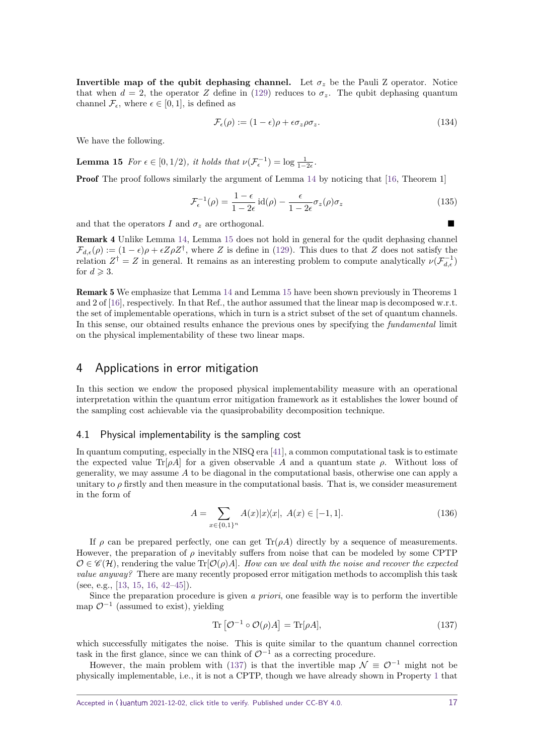**Invertible map of the qubit dephasing channel.** Let  $\sigma_z$  be the Pauli Z operator. Notice that when  $d = 2$ , the operator *Z* define in [\(129\)](#page-15-3) reduces to  $\sigma_z$ . The qubit dephasing quantum channel  $\mathcal{F}_{\epsilon}$ , where  $\epsilon \in [0,1]$ , is defined as

<span id="page-16-1"></span>
$$
\mathcal{F}_{\epsilon}(\rho) := (1 - \epsilon)\rho + \epsilon \sigma_z \rho \sigma_z. \tag{134}
$$

We have the following.

**Lemma 15** *For*  $\epsilon \in [0, 1/2)$ *, it holds that*  $\nu(\mathcal{F}_{\epsilon}^{-1}) = \log \frac{1}{1-2\epsilon}$ *.* 

**Proof** The proof follows similarly the argument of Lemma [14](#page-15-0) by noticing that [\[16,](#page-20-3) Theorem 1]

$$
\mathcal{F}_{\epsilon}^{-1}(\rho) = \frac{1 - \epsilon}{1 - 2\epsilon} \operatorname{id}(\rho) - \frac{\epsilon}{1 - 2\epsilon} \sigma_z(\rho) \sigma_z \tag{135}
$$

and that the operators  $I$  and  $\sigma_z$  are orthogonal.

Remark 4 Unlike Lemma [14,](#page-15-0) Lemma [15](#page-16-1) does not hold in general for the qudit dephasing channel  $\mathcal{F}_{d,\epsilon}(\rho) := (1-\epsilon)\rho + \epsilon Z\rho Z^{\dagger}$ , where *Z* is define in [\(129\)](#page-15-3). This dues to that *Z* does not satisfy the relation  $Z^{\dagger} = Z$  in general. It remains as an interesting problem to compute analytically  $\nu(\mathcal{F}_{d,\epsilon}^{-1})$ for  $d \geq 3$ .

Remark 5 We emphasize that Lemma [14](#page-15-0) and Lemma [15](#page-16-1) have been shown previously in Theorems 1 and 2 of [\[16\]](#page-20-3), respectively. In that Ref., the author assumed that the linear map is decomposed w.r.t. the set of implementable operations, which in turn is a strict subset of the set of quantum channels. In this sense, our obtained results enhance the previous ones by specifying the fundamental limit on the physical implementability of these two linear maps.

## <span id="page-16-0"></span>4 Applications in error mitigation

In this section we endow the proposed physical implementability measure with an operational interpretation within the quantum error mitigation framework as it establishes the lower bound of the sampling cost achievable via the quasiprobability decomposition technique.

#### 4.1 Physical implementability is the sampling cost

In quantum computing, especially in the NISQ era [\[41\]](#page-21-5), a common computational task is to estimate the expected value Tr[ $\rho A$ ] for a given observable A and a quantum state  $\rho$ . Without loss of generality, we may assume *A* to be diagonal in the computational basis, otherwise one can apply a unitary to  $\rho$  firstly and then measure in the computational basis. That is, we consider measurement in the form of

$$
A = \sum_{x \in \{0,1\}^n} A(x)|x\rangle\langle x|, \ A(x) \in [-1,1].
$$
\n(136)

If  $\rho$  can be prepared perfectly, one can get  $\text{Tr}(\rho A)$  directly by a sequence of measurements. However, the preparation of *ρ* inevitably suffers from noise that can be modeled by some CPTP  $\mathcal{O} \in \mathscr{C}(\mathcal{H})$ , rendering the value Tr[ $\mathcal{O}(\rho)A$ ]. How can we deal with the noise and recover the expected value anyway? There are many recently proposed error mitigation methods to accomplish this task (see, e.g., [\[13,](#page-20-17) [15,](#page-20-18) [16,](#page-20-3) [42–](#page-21-6)[45\]](#page-21-7)).

Since the preparation procedure is given a priori, one feasible way is to perform the invertible map  $\mathcal{O}^{-1}$  (assumed to exist), yielding

<span id="page-16-2"></span>
$$
\operatorname{Tr}\left[\mathcal{O}^{-1}\circ\mathcal{O}(\rho)A\right] = \operatorname{Tr}[\rho A],\tag{137}
$$

which successfully mitigates the noise. This is quite similar to the quantum channel correction task in the first glance, since we can think of  $\mathcal{O}^{-1}$  as a correcting procedure.

However, the main problem with [\(137\)](#page-16-2) is that the invertible map  $\mathcal{N} \equiv \mathcal{O}^{-1}$  might not be physically implementable, i.e., it is not a CPTP, though we have already shown in Property [1](#page-3-1) that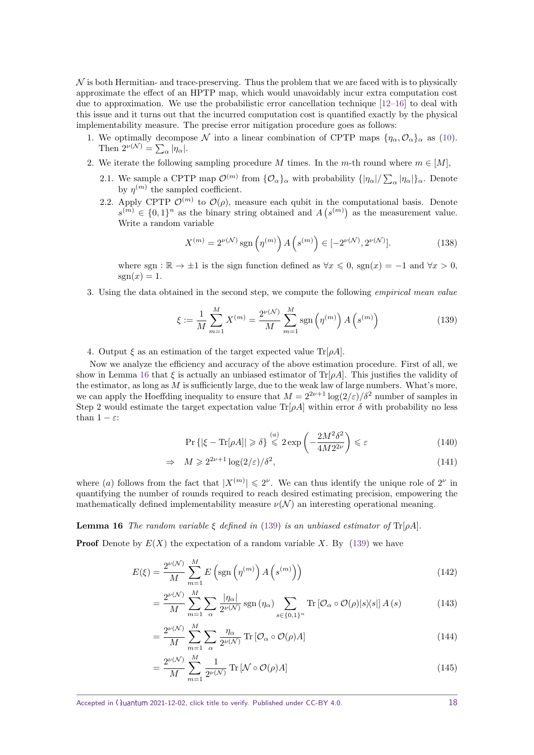$\mathcal N$  is both Hermitian- and trace-preserving. Thus the problem that we are faced with is to physically approximate the effect of an HPTP map, which would unavoidably incur extra computation cost due to approximation. We use the probabilistic error cancellation technique  $[12-16]$  $[12-16]$  to deal with this issue and it turns out that the incurred computation cost is quantified exactly by the physical implementability measure. The precise error mitigation procedure goes as follows:

- 1. We optimally decompose N into a linear combination of CPTP maps  ${\eta_\alpha, \mathcal{O}_\alpha}_{\alpha}$  as [\(10\)](#page-4-1). Then  $2^{\nu(\mathcal{N})} = \sum_{\alpha} |\eta_{\alpha}|.$
- 2. We iterate the following sampling procedure *M* times. In the *m*-th round where  $m \in [M]$ ,
	- 2.1. We sample a CPTP map  $\mathcal{O}^{(m)}$  from  $\{\mathcal{O}_{\alpha}\}_\alpha$  with probability  $\{|\eta_\alpha|/\sum_{\alpha}|\eta_\alpha|\}_\alpha$ . Denote by  $\eta^{(m)}$  the sampled coefficient.
	- 2.2. Apply CPTP  $\mathcal{O}^{(m)}$  to  $\mathcal{O}(\rho)$ , measure each qubit in the computational basis. Denote  $s^{(m)} \in \{0,1\}^n$  as the binary string obtained and  $A(s^{(m)})$  as the measurement value. Write a random variable

$$
X^{(m)} = 2^{\nu(\mathcal{N})} \text{sgn}\left(\eta^{(m)}\right) A\left(s^{(m)}\right) \in [-2^{\nu(\mathcal{N})}, 2^{\nu(\mathcal{N})}].\tag{138}
$$

where sgn :  $\mathbb{R} \to \pm 1$  is the sign function defined as  $\forall x \leq 0$ , sgn $(x) = -1$  and  $\forall x > 0$ ,  $sgn(x) = 1$ .

3. Using the data obtained in the second step, we compute the following empirical mean value

<span id="page-17-1"></span>
$$
\xi := \frac{1}{M} \sum_{m=1}^{M} X^{(m)} = \frac{2^{\nu(\mathcal{N})}}{M} \sum_{m=1}^{M} \text{sgn}\left(\eta^{(m)}\right) A\left(s^{(m)}\right) \tag{139}
$$

4. Output  $\xi$  as an estimation of the target expected value  $\text{Tr}[\rho A]$ .

Now we analyze the efficiency and accuracy of the above estimation procedure. First of all, we show in Lemma [16](#page-17-0) that  $\xi$  is actually an unbiased estimator of Tr[*ρA*]. This justifies the validity of the estimator, as long as *M* is sufficiently large, due to the weak law of large numbers. What's more, we can apply the Hoeffding inequality to ensure that  $M = 2^{2\nu+1} \log(2/\varepsilon)/\delta^2$  number of samples in Step 2 would estimate the target expectation value Tr[ $\rho A$ ] within error  $\delta$  with probability no less than  $1 - \varepsilon$ :

<span id="page-17-0"></span>
$$
\Pr\left\{|\xi - \text{Tr}[\rho A]| \geqslant \delta\right\} \stackrel{(a)}{\leqslant} 2\exp\left(-\frac{2M^2\delta^2}{4M2^{2\nu}}\right) \leqslant \varepsilon\tag{140}
$$

$$
\Rightarrow M \geqslant 2^{2\nu+1} \log(2/\varepsilon) / \delta^2,\tag{141}
$$

where (*a*) follows from the fact that  $|X^{(m)}| \leq 2^{\nu}$ . We can thus identify the unique role of  $2^{\nu}$  in quantifying the number of rounds required to reach desired estimating precision, empowering the mathematically defined implementability measure  $\nu(\mathcal{N})$  an interesting operational meaning.

**Lemma 16** *The random variable*  $\xi$  *defined in* [\(139\)](#page-17-1) *is an unbiased estimator of*  $Tr[\rho A]$ *.* 

**Proof** Denote by  $E(X)$  the expectation of a random variable X. By [\(139\)](#page-17-1) we have

$$
E(\xi) = \frac{2^{\nu(\mathcal{N})}}{M} \sum_{m=1}^{M} E\left(\text{sgn}\left(\eta^{(m)}\right) A\left(s^{(m)}\right)\right) \tag{142}
$$

$$
= \frac{2^{\nu(\mathcal{N})}}{M} \sum_{m=1}^{M} \sum_{\alpha} \frac{|\eta_{\alpha}|}{2^{\nu(\mathcal{N})}} \operatorname{sgn}(\eta_{\alpha}) \sum_{s \in \{0,1\}^{n}} \operatorname{Tr} \left[ \mathcal{O}_{\alpha} \circ \mathcal{O}(\rho) |s \rangle \langle s| \right] A(s)
$$
(143)

$$
= \frac{2^{\nu(\mathcal{N})}}{M} \sum_{m=1}^{M} \sum_{\alpha} \frac{\eta_{\alpha}}{2^{\nu(\mathcal{N})}} \operatorname{Tr} \left[ \mathcal{O}_{\alpha} \circ \mathcal{O}(\rho) A \right]
$$
(144)

$$
= \frac{2^{\nu(\mathcal{N})}}{M} \sum_{m=1}^{M} \frac{1}{2^{\nu(\mathcal{N})}} \operatorname{Tr} \left[ \mathcal{N} \circ \mathcal{O}(\rho) A \right]
$$
(145)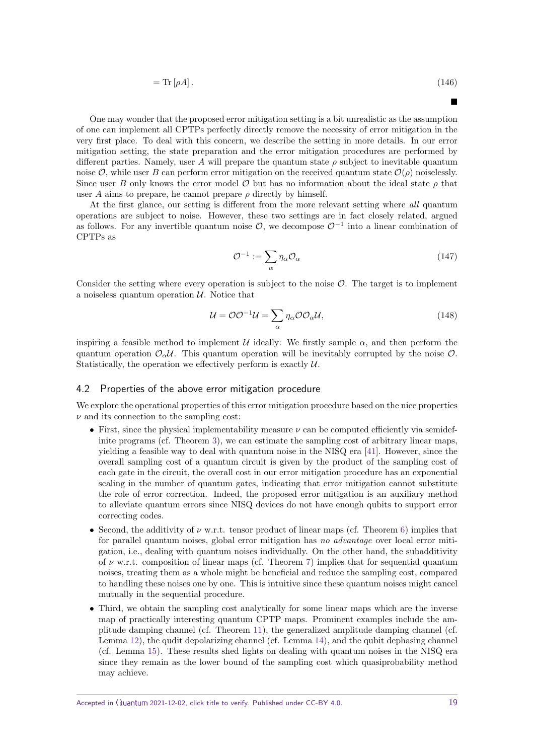$$
= \text{Tr}\left[\rho A\right].\tag{146}
$$

 $\blacksquare$ 

One may wonder that the proposed error mitigation setting is a bit unrealistic as the assumption of one can implement all CPTPs perfectly directly remove the necessity of error mitigation in the very first place. To deal with this concern, we describe the setting in more details. In our error mitigation setting, the state preparation and the error mitigation procedures are performed by different parties. Namely, user A will prepare the quantum state  $\rho$  subject to inevitable quantum noise  $\mathcal{O}$ , while user *B* can perform error mitigation on the received quantum state  $\mathcal{O}(\rho)$  noiselessly. Since user *B* only knows the error model  $\mathcal O$  but has no information about the ideal state  $\rho$  that user *A* aims to prepare, he cannot prepare  $\rho$  directly by himself.

At the first glance, our setting is different from the more relevant setting where all quantum operations are subject to noise. However, these two settings are in fact closely related, argued as follows. For any invertible quantum noise  $\mathcal{O}$ , we decompose  $\mathcal{O}^{-1}$  into a linear combination of CPTPs as

$$
\mathcal{O}^{-1} := \sum_{\alpha} \eta_{\alpha} \mathcal{O}_{\alpha} \tag{147}
$$

Consider the setting where every operation is subject to the noise  $\mathcal{O}$ . The target is to implement a noiseless quantum operation  $U$ . Notice that

$$
\mathcal{U} = \mathcal{O}\mathcal{O}^{-1}\mathcal{U} = \sum_{\alpha} \eta_{\alpha} \mathcal{O}\mathcal{O}_{\alpha}\mathcal{U},\tag{148}
$$

inspiring a feasible method to implement  $U$  ideally: We firstly sample  $\alpha$ , and then perform the quantum operation  $\mathcal{O}_{\alpha}U$ . This quantum operation will be inevitably corrupted by the noise  $\mathcal{O}_{\alpha}$ . Statistically, the operation we effectively perform is exactly  $U$ .

#### 4.2 Properties of the above error mitigation procedure

We explore the operational properties of this error mitigation procedure based on the nice properties  $\nu$  and its connection to the sampling cost:

- First, since the physical implementability measure *ν* can be computed efficiently via semidefinite programs (cf. Theorem [3\)](#page-5-1), we can estimate the sampling cost of arbitrary linear maps, yielding a feasible way to deal with quantum noise in the NISQ era [\[41\]](#page-21-5). However, since the overall sampling cost of a quantum circuit is given by the product of the sampling cost of each gate in the circuit, the overall cost in our error mitigation procedure has an exponential scaling in the number of quantum gates, indicating that error mitigation cannot substitute the role of error correction. Indeed, the proposed error mitigation is an auxiliary method to alleviate quantum errors since NISQ devices do not have enough qubits to support error correcting codes.
- Second, the additivity of *ν* w.r.t. tensor product of linear maps (cf. Theorem [6\)](#page-7-2) implies that for parallel quantum noises, global error mitigation has no advantage over local error mitigation, i.e., dealing with quantum noises individually. On the other hand, the subadditivity of *ν* w.r.t. composition of linear maps (cf. Theorem [7\)](#page-9-3) implies that for sequential quantum noises, treating them as a whole might be beneficial and reduce the sampling cost, compared to handling these noises one by one. This is intuitive since these quantum noises might cancel mutually in the sequential procedure.
- Third, we obtain the sampling cost analytically for some linear maps which are the inverse map of practically interesting quantum CPTP maps. Prominent examples include the amplitude damping channel (cf. Theorem [11\)](#page-12-1), the generalized amplitude damping channel (cf. Lemma [12\)](#page-13-3), the qudit depolarizing channel (cf. Lemma [14\)](#page-15-0), and the qubit dephasing channel (cf. Lemma [15\)](#page-16-1). These results shed lights on dealing with quantum noises in the NISQ era since they remain as the lower bound of the sampling cost which quasiprobability method may achieve.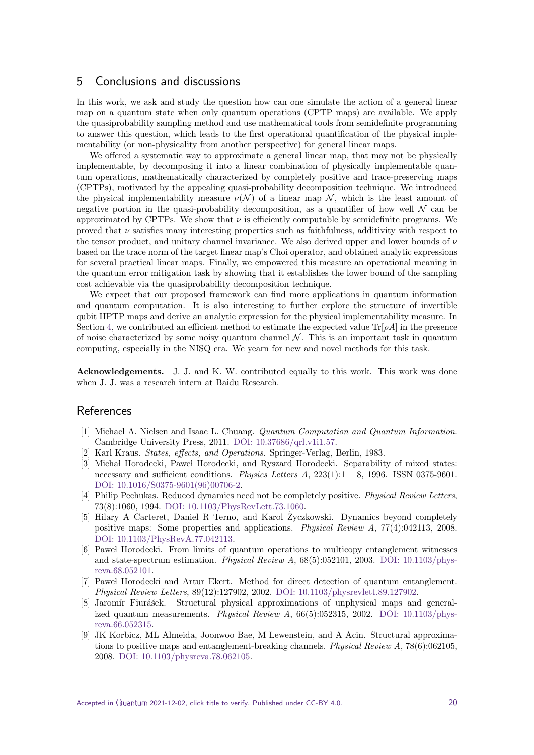## 5 Conclusions and discussions

In this work, we ask and study the question how can one simulate the action of a general linear map on a quantum state when only quantum operations (CPTP maps) are available. We apply the quasiprobability sampling method and use mathematical tools from semidefinite programming to answer this question, which leads to the first operational quantification of the physical implementability (or non-physicality from another perspective) for general linear maps.

We offered a systematic way to approximate a general linear map, that may not be physically implementable, by decomposing it into a linear combination of physically implementable quantum operations, mathematically characterized by completely positive and trace-preserving maps (CPTPs), motivated by the appealing quasi-probability decomposition technique. We introduced the physical implementability measure  $\nu(\mathcal{N})$  of a linear map  $\mathcal{N}$ , which is the least amount of negative portion in the quasi-probability decomposition, as a quantifier of how well  $\mathcal N$  can be approximated by CPTPs. We show that  $\nu$  is efficiently computable by semidefinite programs. We proved that  $\nu$  satisfies many interesting properties such as faithfulness, additivity with respect to the tensor product, and unitary channel invariance. We also derived upper and lower bounds of *ν* based on the trace norm of the target linear map's Choi operator, and obtained analytic expressions for several practical linear maps. Finally, we empowered this measure an operational meaning in the quantum error mitigation task by showing that it establishes the lower bound of the sampling cost achievable via the quasiprobability decomposition technique.

We expect that our proposed framework can find more applications in quantum information and quantum computation. It is also interesting to further explore the structure of invertible qubit HPTP maps and derive an analytic expression for the physical implementability measure. In Section [4,](#page-16-0) we contributed an efficient method to estimate the expected value  $\text{Tr}[\rho A]$  in the presence of noise characterized by some noisy quantum channel  $\mathcal N$ . This is an important task in quantum computing, especially in the NISQ era. We yearn for new and novel methods for this task.

**Acknowledgements.** J. J. and K. W. contributed equally to this work. This work was done when J. J. was a research intern at Baidu Research.

## References

- <span id="page-19-0"></span>[1] Michael A. Nielsen and Isaac L. Chuang. Quantum Computation and Quantum Information. Cambridge University Press, 2011. [DOI: 10.37686/qrl.v1i1.57.](https://doi.org/10.37686/qrl.v1i1.57)
- <span id="page-19-1"></span>[2] Karl Kraus. States, effects, and Operations. Springer-Verlag, Berlin, 1983.
- <span id="page-19-2"></span>[3] Michał Horodecki, Paweł Horodecki, and Ryszard Horodecki. Separability of mixed states: necessary and sufficient conditions. Physics Letters A,  $223(1):1 - 8$ , 1996. ISSN 0375-9601. [DOI: 10.1016/S0375-9601\(96\)00706-2.](https://doi.org/10.1016/S0375-9601(96)00706-2)
- <span id="page-19-3"></span>[4] Philip Pechukas. Reduced dynamics need not be completely positive. *Physical Review Letters*, 73(8):1060, 1994. [DOI: 10.1103/PhysRevLett.73.1060.](https://doi.org/10.1103/PhysRevLett.73.1060)
- <span id="page-19-4"></span>[5] Hilary A Carteret, Daniel R Terno, and Karol Zyczkowski. Dynamics beyond completely ˙ positive maps: Some properties and applications. Physical Review A, 77(4):042113, 2008. [DOI: 10.1103/PhysRevA.77.042113.](https://doi.org/10.1103/PhysRevA.77.042113)
- <span id="page-19-5"></span>[6] Pawel Horodecki. From limits of quantum operations to multicopy entanglement witnesses and state-spectrum estimation. Physical Review A,  $68(5):052101$ , 2003. [DOI: 10.1103/phys](https://doi.org/10.1103/physreva.68.052101)[reva.68.052101.](https://doi.org/10.1103/physreva.68.052101)
- [7] Pawel Horodecki and Artur Ekert. Method for direct detection of quantum entanglement. Physical Review Letters, 89(12):127902, 2002. [DOI: 10.1103/physrevlett.89.127902.](https://doi.org/10.1103/physrevlett.89.127902)
- [8] Jaromír Fiurášek. Structural physical approximations of unphysical maps and generalized quantum measurements. *Physical Review A*,  $66(5):052315$ , 2002. DOI:  $10.1103/\text{phys}$ [reva.66.052315.](https://doi.org/10.1103/physreva.66.052315)
- <span id="page-19-6"></span>[9] JK Korbicz, ML Almeida, Joonwoo Bae, M Lewenstein, and A Acin. Structural approximations to positive maps and entanglement-breaking channels. Physical Review A, 78(6):062105, 2008. [DOI: 10.1103/physreva.78.062105.](https://doi.org/10.1103/physreva.78.062105)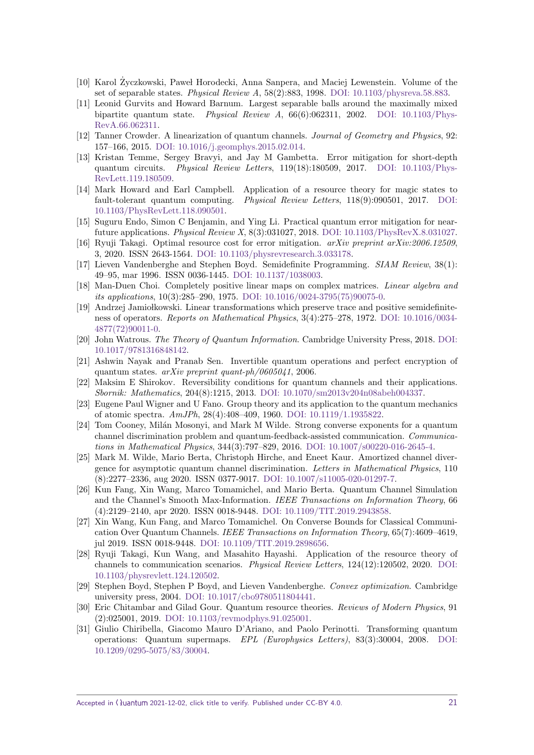- <span id="page-20-0"></span>[10] Karol Życzkowski, Paweł Horodecki, Anna Sanpera, and Maciej Lewenstein. Volume of the set of separable states. Physical Review A, 58(2):883, 1998. [DOI: 10.1103/physreva.58.883.](https://doi.org/10.1103/physreva.58.883)
- <span id="page-20-1"></span>[11] Leonid Gurvits and Howard Barnum. Largest separable balls around the maximally mixed bipartite quantum state. *Physical Review A*,  $66(6):062311$ , 2002. [DOI: 10.1103/Phys-](https://doi.org/10.1103/PhysRevA.66.062311)[RevA.66.062311.](https://doi.org/10.1103/PhysRevA.66.062311)
- <span id="page-20-2"></span>[12] Tanner Crowder. A linearization of quantum channels. Journal of Geometry and Physics, 92: 157–166, 2015. [DOI: 10.1016/j.geomphys.2015.02.014.](https://doi.org/10.1016/j.geomphys.2015.02.014)
- <span id="page-20-17"></span>[13] Kristan Temme, Sergey Bravyi, and Jay M Gambetta. Error mitigation for short-depth quantum circuits. Physical Review Letters,  $119(18)$ :180509, 2017. [DOI: 10.1103/Phys-](https://doi.org/10.1103/PhysRevLett.119.180509)[RevLett.119.180509.](https://doi.org/10.1103/PhysRevLett.119.180509)
- <span id="page-20-19"></span>[14] Mark Howard and Earl Campbell. Application of a resource theory for magic states to fault-tolerant quantum computing. Physical Review Letters, 118(9):090501, 2017. [DOI:](https://doi.org/10.1103/PhysRevLett.118.090501) [10.1103/PhysRevLett.118.090501.](https://doi.org/10.1103/PhysRevLett.118.090501)
- <span id="page-20-18"></span>[15] Suguru Endo, Simon C Benjamin, and Ying Li. Practical quantum error mitigation for nearfuture applications. Physical Review X, 8(3):031027, 2018. [DOI: 10.1103/PhysRevX.8.031027.](https://doi.org/10.1103/PhysRevX.8.031027)
- <span id="page-20-3"></span>[16] Ryuji Takagi. Optimal resource cost for error mitigation. arXiv preprint arXiv:2006.12509, 3, 2020. ISSN 2643-1564. [DOI: 10.1103/physrevresearch.3.033178.](https://doi.org/10.1103/physrevresearch.3.033178)
- <span id="page-20-4"></span>[17] Lieven Vandenberghe and Stephen Boyd. Semidefinite Programming. SIAM Review, 38(1): 49–95, mar 1996. ISSN 0036-1445. [DOI: 10.1137/1038003.](https://doi.org/10.1137/1038003)
- <span id="page-20-5"></span>[18] Man-Duen Choi. Completely positive linear maps on complex matrices. Linear algebra and its applications, 10(3):285–290, 1975. [DOI: 10.1016/0024-3795\(75\)90075-0.](https://doi.org/10.1016/0024-3795(75)90075-0)
- <span id="page-20-6"></span>[19] Andrzej Jamiołkowski. Linear transformations which preserve trace and positive semidefiniteness of operators. Reports on Mathematical Physics, 3(4):275–278, 1972. [DOI: 10.1016/0034-](https://doi.org/10.1016/0034-4877(72)90011-0) [4877\(72\)90011-0.](https://doi.org/10.1016/0034-4877(72)90011-0)
- <span id="page-20-9"></span>[20] John Watrous. The Theory of Quantum Information. Cambridge University Press, 2018. [DOI:](https://doi.org/10.1017/9781316848142) [10.1017/9781316848142.](https://doi.org/10.1017/9781316848142)
- <span id="page-20-7"></span>[21] Ashwin Nayak and Pranab Sen. Invertible quantum operations and perfect encryption of quantum states.  $arXiv$  preprint quant-ph/0605041, 2006.
- <span id="page-20-8"></span>[22] Maksim E Shirokov. Reversibility conditions for quantum channels and their applications. Sbornik: Mathematics, 204(8):1215, 2013. [DOI: 10.1070/sm2013v204n08abeh004337.](https://doi.org/10.1070/sm2013v204n08abeh004337)
- <span id="page-20-10"></span>[23] Eugene Paul Wigner and U Fano. Group theory and its application to the quantum mechanics of atomic spectra. AmJPh, 28(4):408–409, 1960. [DOI: 10.1119/1.1935822.](https://doi.org/10.1119/1.1935822)
- <span id="page-20-11"></span>[24] Tom Cooney, Milán Mosonyi, and Mark M Wilde. Strong converse exponents for a quantum channel discrimination problem and quantum-feedback-assisted communication. Communications in Mathematical Physics, 344(3):797–829, 2016. [DOI: 10.1007/s00220-016-2645-4.](https://doi.org/10.1007/s00220-016-2645-4)
- [25] Mark M. Wilde, Mario Berta, Christoph Hirche, and Eneet Kaur. Amortized channel divergence for asymptotic quantum channel discrimination. Letters in Mathematical Physics, 110 (8):2277–2336, aug 2020. ISSN 0377-9017. [DOI: 10.1007/s11005-020-01297-7.](https://doi.org/10.1007/s11005-020-01297-7)
- <span id="page-20-16"></span>[26] Kun Fang, Xin Wang, Marco Tomamichel, and Mario Berta. Quantum Channel Simulation and the Channel's Smooth Max-Information. IEEE Transactions on Information Theory, 66 (4):2129–2140, apr 2020. ISSN 0018-9448. [DOI: 10.1109/TIT.2019.2943858.](https://doi.org/10.1109/TIT.2019.2943858)
- [27] Xin Wang, Kun Fang, and Marco Tomamichel. On Converse Bounds for Classical Communication Over Quantum Channels. IEEE Transactions on Information Theory, 65(7):4609–4619, jul 2019. ISSN 0018-9448. [DOI: 10.1109/TIT.2019.2898656.](https://doi.org/10.1109/TIT.2019.2898656)
- <span id="page-20-12"></span>[28] Ryuji Takagi, Kun Wang, and Masahito Hayashi. Application of the resource theory of channels to communication scenarios. Physical Review Letters, 124(12):120502, 2020. [DOI:](https://doi.org/10.1103/physrevlett.124.120502) [10.1103/physrevlett.124.120502.](https://doi.org/10.1103/physrevlett.124.120502)
- <span id="page-20-13"></span>[29] Stephen Boyd, Stephen P Boyd, and Lieven Vandenberghe. Convex optimization. Cambridge university press, 2004. [DOI: 10.1017/cbo9780511804441.](https://doi.org/10.1017/cbo9780511804441)
- <span id="page-20-14"></span>[30] Eric Chitambar and Gilad Gour. Quantum resource theories. Reviews of Modern Physics, 91 (2):025001, 2019. [DOI: 10.1103/revmodphys.91.025001.](https://doi.org/10.1103/revmodphys.91.025001)
- <span id="page-20-15"></span>[31] Giulio Chiribella, Giacomo Mauro D'Ariano, and Paolo Perinotti. Transforming quantum operations: Quantum supermaps. EPL (Europhysics Letters), 83(3):30004, 2008. [DOI:](https://doi.org/10.1209/0295-5075/83/30004) [10.1209/0295-5075/83/30004.](https://doi.org/10.1209/0295-5075/83/30004)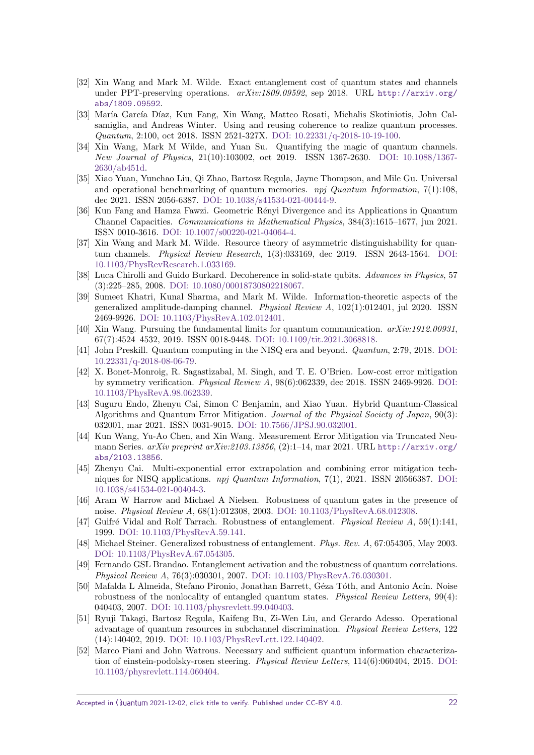- <span id="page-21-0"></span>[32] Xin Wang and Mark M. Wilde. Exact entanglement cost of quantum states and channels under PPT-preserving operations.  $arXiv:1809.09592$ , sep 2018. URL [http://arxiv.org/](http://arxiv.org/abs/1809.09592) [abs/1809.09592](http://arxiv.org/abs/1809.09592).
- [33] María García Díaz, Kun Fang, Xin Wang, Matteo Rosati, Michalis Skotiniotis, John Calsamiglia, and Andreas Winter. Using and reusing coherence to realize quantum processes. Quantum, 2:100, oct 2018. ISSN 2521-327X. [DOI: 10.22331/q-2018-10-19-100.](https://doi.org/10.22331/q-2018-10-19-100)
- [34] Xin Wang, Mark M Wilde, and Yuan Su. Quantifying the magic of quantum channels. New Journal of Physics, 21(10):103002, oct 2019. ISSN 1367-2630. [DOI: 10.1088/1367-](https://doi.org/10.1088/1367-2630/ab451d) [2630/ab451d.](https://doi.org/10.1088/1367-2630/ab451d)
- <span id="page-21-8"></span>[35] Xiao Yuan, Yunchao Liu, Qi Zhao, Bartosz Regula, Jayne Thompson, and Mile Gu. Universal and operational benchmarking of quantum memories.  $npj$  Quantum Information, 7(1):108, dec 2021. ISSN 2056-6387. [DOI: 10.1038/s41534-021-00444-9.](https://doi.org/10.1038/s41534-021-00444-9)
- [36] Kun Fang and Hamza Fawzi. Geometric Rényi Divergence and its Applications in Quantum Channel Capacities. Communications in Mathematical Physics, 384(3):1615–1677, jun 2021. ISSN 0010-3616. [DOI: 10.1007/s00220-021-04064-4.](https://doi.org/10.1007/s00220-021-04064-4)
- <span id="page-21-1"></span>[37] Xin Wang and Mark M. Wilde. Resource theory of asymmetric distinguishability for quantum channels. Physical Review Research, 1(3):033169, dec 2019. ISSN 2643-1564. [DOI:](https://doi.org/10.1103/PhysRevResearch.1.033169) [10.1103/PhysRevResearch.1.033169.](https://doi.org/10.1103/PhysRevResearch.1.033169)
- <span id="page-21-2"></span>[38] Luca Chirolli and Guido Burkard. Decoherence in solid-state qubits. Advances in Physics, 57 (3):225–285, 2008. [DOI: 10.1080/00018730802218067.](https://doi.org/10.1080/00018730802218067)
- <span id="page-21-3"></span>[39] Sumeet Khatri, Kunal Sharma, and Mark M. Wilde. Information-theoretic aspects of the generalized amplitude-damping channel. Physical Review A, 102(1):012401, jul 2020. ISSN 2469-9926. [DOI: 10.1103/PhysRevA.102.012401.](https://doi.org/10.1103/PhysRevA.102.012401)
- <span id="page-21-4"></span>[40] Xin Wang. Pursuing the fundamental limits for quantum communication. arXiv:1912.00931, 67(7):4524–4532, 2019. ISSN 0018-9448. [DOI: 10.1109/tit.2021.3068818.](https://doi.org/10.1109/tit.2021.3068818)
- <span id="page-21-5"></span>[41] John Preskill. Quantum computing in the NISQ era and beyond. Quantum, 2:79, 2018. [DOI:](https://doi.org/10.22331/q-2018-08-06-79) [10.22331/q-2018-08-06-79.](https://doi.org/10.22331/q-2018-08-06-79)
- <span id="page-21-6"></span>[42] X. Bonet-Monroig, R. Sagastizabal, M. Singh, and T. E. O'Brien. Low-cost error mitigation by symmetry verification. Physical Review A, 98(6):062339, dec 2018. ISSN 2469-9926. [DOI:](https://doi.org/10.1103/PhysRevA.98.062339) [10.1103/PhysRevA.98.062339.](https://doi.org/10.1103/PhysRevA.98.062339)
- [43] Suguru Endo, Zhenyu Cai, Simon C Benjamin, and Xiao Yuan. Hybrid Quantum-Classical Algorithms and Quantum Error Mitigation. Journal of the Physical Society of Japan, 90(3): 032001, mar 2021. ISSN 0031-9015. [DOI: 10.7566/JPSJ.90.032001.](https://doi.org/10.7566/JPSJ.90.032001)
- [44] Kun Wang, Yu-Ao Chen, and Xin Wang. Measurement Error Mitigation via Truncated Neumann Series.  $arXiv$  preprint  $arXiv:2103.13856$ , (2):1-14, mar 2021. URL [http://arxiv.org/](http://arxiv.org/abs/2103.13856) [abs/2103.13856](http://arxiv.org/abs/2103.13856).
- <span id="page-21-7"></span>[45] Zhenyu Cai. Multi-exponential error extrapolation and combining error mitigation techniques for NISQ applications. *npj Quantum Information*, 7(1), 2021. ISSN 20566387. [DOI:](https://doi.org/10.1038/s41534-021-00404-3) [10.1038/s41534-021-00404-3.](https://doi.org/10.1038/s41534-021-00404-3)
- <span id="page-21-9"></span>[46] Aram W Harrow and Michael A Nielsen. Robustness of quantum gates in the presence of noise. Physical Review A, 68(1):012308, 2003. [DOI: 10.1103/PhysRevA.68.012308.](https://doi.org/10.1103/PhysRevA.68.012308)
- [47] Guifré Vidal and Rolf Tarrach. Robustness of entanglement. Physical Review A, 59(1):141, 1999. [DOI: 10.1103/PhysRevA.59.141.](https://doi.org/10.1103/PhysRevA.59.141)
- [48] Michael Steiner. Generalized robustness of entanglement. Phys. Rev. A, 67:054305, May 2003. [DOI: 10.1103/PhysRevA.67.054305.](https://doi.org/10.1103/PhysRevA.67.054305)
- [49] Fernando GSL Brandao. Entanglement activation and the robustness of quantum correlations. Physical Review A, 76(3):030301, 2007. [DOI: 10.1103/PhysRevA.76.030301.](https://doi.org/10.1103/PhysRevA.76.030301)
- [50] Mafalda L Almeida, Stefano Pironio, Jonathan Barrett, Géza Tóth, and Antonio Acín. Noise robustness of the nonlocality of entangled quantum states. *Physical Review Letters*, 99(4): 040403, 2007. [DOI: 10.1103/physrevlett.99.040403.](https://doi.org/10.1103/physrevlett.99.040403)
- <span id="page-21-10"></span>[51] Ryuji Takagi, Bartosz Regula, Kaifeng Bu, Zi-Wen Liu, and Gerardo Adesso. Operational advantage of quantum resources in subchannel discrimination. Physical Review Letters, 122 (14):140402, 2019. [DOI: 10.1103/PhysRevLett.122.140402.](https://doi.org/10.1103/PhysRevLett.122.140402)
- [52] Marco Piani and John Watrous. Necessary and sufficient quantum information characterization of einstein-podolsky-rosen steering. Physical Review Letters, 114(6):060404, 2015. [DOI:](https://doi.org/10.1103/physrevlett.114.060404) [10.1103/physrevlett.114.060404.](https://doi.org/10.1103/physrevlett.114.060404)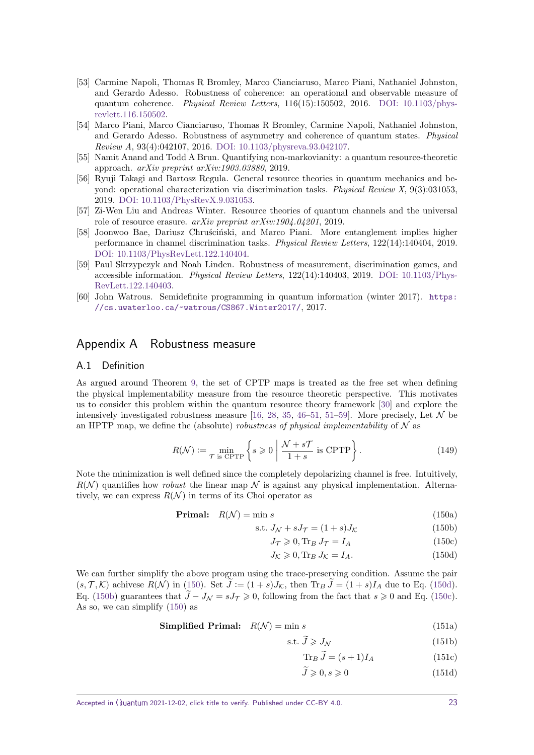- [53] Carmine Napoli, Thomas R Bromley, Marco Cianciaruso, Marco Piani, Nathaniel Johnston, and Gerardo Adesso. Robustness of coherence: an operational and observable measure of quantum coherence. Physical Review Letters,  $116(15):150502$ ,  $2016$ . DOI:  $10.1103$ /phys[revlett.116.150502.](https://doi.org/10.1103/physrevlett.116.150502)
- [54] Marco Piani, Marco Cianciaruso, Thomas R Bromley, Carmine Napoli, Nathaniel Johnston, and Gerardo Adesso. Robustness of asymmetry and coherence of quantum states. Physical Review A, 93(4):042107, 2016. [DOI: 10.1103/physreva.93.042107.](https://doi.org/10.1103/physreva.93.042107)
- [55] Namit Anand and Todd A Brun. Quantifying non-markovianity: a quantum resource-theoretic approach. arXiv preprint arXiv:1903.03880, 2019.
- [56] Ryuji Takagi and Bartosz Regula. General resource theories in quantum mechanics and beyond: operational characterization via discrimination tasks. Physical Review X, 9(3):031053, 2019. [DOI: 10.1103/PhysRevX.9.031053.](https://doi.org/10.1103/PhysRevX.9.031053)
- [57] Zi-Wen Liu and Andreas Winter. Resource theories of quantum channels and the universal role of resource erasure. arXiv preprint arXiv:1904.04201, 2019.
- [58] Joonwoo Bae, Dariusz Chrusciński, and Marco Piani. More entanglement implies higher performance in channel discrimination tasks. Physical Review Letters, 122(14):140404, 2019. [DOI: 10.1103/PhysRevLett.122.140404.](https://doi.org/10.1103/PhysRevLett.122.140404)
- <span id="page-22-1"></span>[59] Paul Skrzypczyk and Noah Linden. Robustness of measurement, discrimination games, and accessible information. Physical Review Letters, 122(14):140403, 2019. [DOI: 10.1103/Phys-](https://doi.org/10.1103/PhysRevLett.122.140403)[RevLett.122.140403.](https://doi.org/10.1103/PhysRevLett.122.140403)
- <span id="page-22-6"></span>[60] John Watrous. Semidefinite programming in quantum information (winter 2017). [https:](https://cs.uwaterloo.ca/~watrous/CS867.Winter2017/) [//cs.uwaterloo.ca/˜watrous/CS867.Winter2017/](https://cs.uwaterloo.ca/~watrous/CS867.Winter2017/), 2017.

## <span id="page-22-0"></span>Appendix A Robustness measure

#### A.1 Definition

As argued around Theorem [9,](#page-10-3) the set of CPTP maps is treated as the free set when defining the physical implementability measure from the resource theoretic perspective. This motivates us to consider this problem within the quantum resource theory framework [\[30\]](#page-20-14) and explore the intensively investigated robustness measure [\[16,](#page-20-3) [28,](#page-20-12) [35,](#page-21-8) [46–](#page-21-9)[51,](#page-21-10) [51–](#page-21-10)[59\]](#page-22-1). More precisely, Let  $\mathcal N$  be an HPTP map, we define the (absolute) robustness of physical implementability of  $\mathcal N$  as

$$
R(\mathcal{N}) := \min_{\mathcal{T} \text{ is CPTP}} \left\{ s \geqslant 0 \; \middle| \; \frac{\mathcal{N} + s\mathcal{T}}{1 + s} \text{ is CPTP} \right\}. \tag{149}
$$

Note the minimization is well defined since the completely depolarizing channel is free. Intuitively,  $R(\mathcal{N})$  quantifies how *robust* the linear map  $\mathcal N$  is against any physical implementation. Alternatively, we can express  $R(N)$  in terms of its Choi operator as

**Primal:** 
$$
R(\mathcal{N}) = \min s
$$
 (150a)

$$
s.t. JN + sJT = (1 + s)JK
$$
\n(150b)

<span id="page-22-7"></span><span id="page-22-5"></span><span id="page-22-4"></span><span id="page-22-3"></span><span id="page-22-2"></span>
$$
J_{\mathcal{T}} \geqslant 0, \text{Tr}_B J_{\mathcal{T}} = I_A \tag{150c}
$$

$$
J_{\mathcal{K}} \geqslant 0, \text{Tr}_B J_{\mathcal{K}} = I_A. \tag{150d}
$$

We can further simplify the above program using the trace-preserving condition. Assume the pair  $(s, \mathcal{T}, \mathcal{K})$  achivese  $R(\mathcal{N})$  in [\(150\)](#page-22-2). Set  $\tilde{J} := (1+s)J_{\mathcal{K}}$ , then  $\text{Tr}_{B}\tilde{J} = (1+s)I_{A}$  due to Eq. [\(150d\)](#page-22-3). Eq. [\(150b\)](#page-22-4) guarantees that  $\tilde{J} - J_N = sJ_T \geq 0$ , following from the fact that  $s \geq 0$  and Eq. [\(150c\)](#page-22-5). As so, we can simplify [\(150\)](#page-22-2) as

**Simplified Primal:** 
$$
R(\mathcal{N}) = \min s
$$
 (151a)

$$
s.t. \tilde{J} \geqslant J_{\mathcal{N}} \tag{151b}
$$

$$
\text{Tr}_B \,\tilde{J} = (s+1)I_A \tag{151c}
$$

$$
\tilde{J} \geqslant 0, s \geqslant 0 \tag{151d}
$$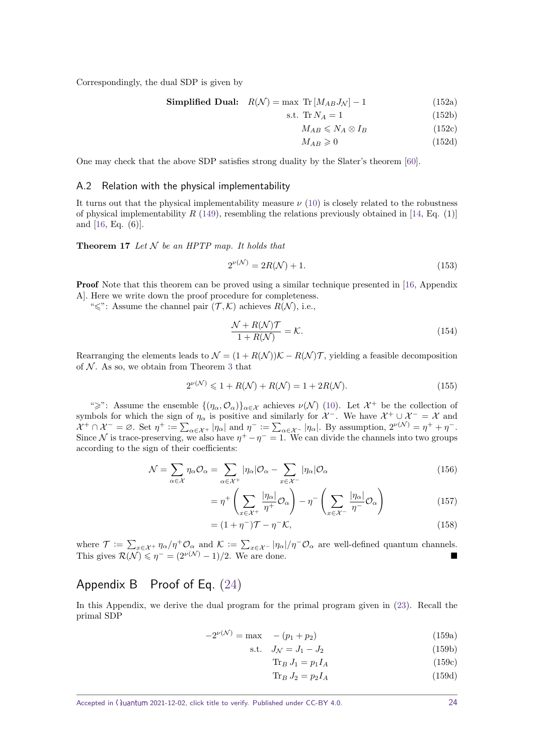Correspondingly, the dual SDP is given by

Simplified Dual: 
$$
R(\mathcal{N}) = \max \operatorname{Tr} [M_{AB} J_{\mathcal{N}}] - 1
$$
 (152a)

$$
s.t. \; \text{Tr}\,N_A = 1\tag{152b}
$$

$$
M_{AB} \leqslant N_A \otimes I_B \tag{152c}
$$

$$
M_{AB} \geqslant 0 \tag{152d}
$$

One may check that the above SDP satisfies strong duality by the Slater's theorem [\[60\]](#page-22-6).

#### A.2 Relation with the physical implementability

It turns out that the physical implementability measure  $\nu(10)$  $\nu(10)$  is closely related to the robustness of physical implementability  $R$  [\(149\)](#page-22-7), resembling the relations previously obtained in [\[14,](#page-20-19) Eq. (1)] and [\[16,](#page-20-3) Eq. (6)].

**Theorem 17** Let  $N$  be an HPTP map. It holds that

$$
2^{\nu(\mathcal{N})} = 2R(\mathcal{N}) + 1.
$$
\n(153)

Proof Note that this theorem can be proved using a similar technique presented in [\[16,](#page-20-3) Appendix A]. Here we write down the proof procedure for completeness.

" $\leq$ ": Assume the channel pair  $(\mathcal{T}, \mathcal{K})$  achieves  $R(\mathcal{N})$ , i.e.,

$$
\frac{\mathcal{N} + R(\mathcal{N})\mathcal{T}}{1 + R(\mathcal{N})} = \mathcal{K}.\tag{154}
$$

Rearranging the elements leads to  $\mathcal{N} = (1 + R(\mathcal{N}))\mathcal{K} - R(\mathcal{N})\mathcal{T}$ , yielding a feasible decomposition of  $N$ . As so, we obtain from Theorem [3](#page-5-1) that

$$
2^{\nu(\mathcal{N})} \leq 1 + R(\mathcal{N}) + R(\mathcal{N}) = 1 + 2R(\mathcal{N}).
$$
\n(155)

">": Assume the ensemble  $\{(\eta_\alpha, \mathcal{O}_\alpha)\}_{\alpha \in \mathcal{X}}$  achieves  $\nu(\mathcal{N})$  [\(10\)](#page-4-1). Let  $\mathcal{X}^+$  be the collection of symbols for which the sign of  $\eta_\alpha$  is positive and similarly for  $\mathcal{X}^-$ . We have  $\mathcal{X}^+ \cup \mathcal{X}^- = \mathcal{X}$  and  $\mathcal{X}^+ \cap \mathcal{X}^- = \emptyset$ . Set  $\eta^+ := \sum_{\alpha \in \mathcal{X}^+} |\eta_\alpha|$  and  $\eta^- := \sum_{\alpha \in \mathcal{X}^-} |\eta_\alpha|$ . By assumption,  $2^{\nu(\mathcal{N})} = \eta^+ + \eta^-$ . Since N is trace-preserving, we also have  $\eta^+ - \eta^- = 1$ . We can divide the channels into two groups according to the sign of their coefficients:

$$
\mathcal{N} = \sum_{\alpha \in \mathcal{X}} \eta_{\alpha} \mathcal{O}_{\alpha} = \sum_{\alpha \in \mathcal{X}^{+}} |\eta_{\alpha}| \mathcal{O}_{\alpha} - \sum_{x \in \mathcal{X}^{-}} |\eta_{\alpha}| \mathcal{O}_{\alpha}
$$
(156)

$$
= \eta^+ \left( \sum_{x \in \mathcal{X}^+} \frac{|\eta_\alpha|}{\eta^+} \mathcal{O}_\alpha \right) - \eta^- \left( \sum_{x \in \mathcal{X}^-} \frac{|\eta_\alpha|}{\eta^-} \mathcal{O}_\alpha \right) \tag{157}
$$

$$
= (1 + \eta^{-})\mathcal{T} - \eta^{-}\mathcal{K}, \qquad (158)
$$

where  $\mathcal{T} := \sum_{x \in \mathcal{X}^+} \eta_\alpha / \eta^+ \mathcal{O}_\alpha$  and  $\mathcal{K} := \sum_{x \in \mathcal{X}^-} |\eta_\alpha| / \eta^- \mathcal{O}_\alpha$  are well-defined quantum channels. This gives  $\mathcal{R}(\mathcal{N}) \leq \eta^- = (2^{\nu(\mathcal{N})} - 1)/2$ . We are done.

## <span id="page-23-0"></span>Appendix B Proof of Eq. [\(24\)](#page-6-5)

In this Appendix, we derive the dual program for the primal program given in [\(23\)](#page-6-0). Recall the primal SDP

$$
-2^{\nu(\mathcal{N})} = \max \quad -(p_1 + p_2) \tag{159a}
$$

s.t. 
$$
J_{\mathcal{N}} = J_1 - J_2
$$
 (159b)

$$
\operatorname{Tr}_B J_1 = p_1 I_A \tag{159c}
$$

$$
\text{Tr}_B J_2 = p_2 I_A \tag{159d}
$$